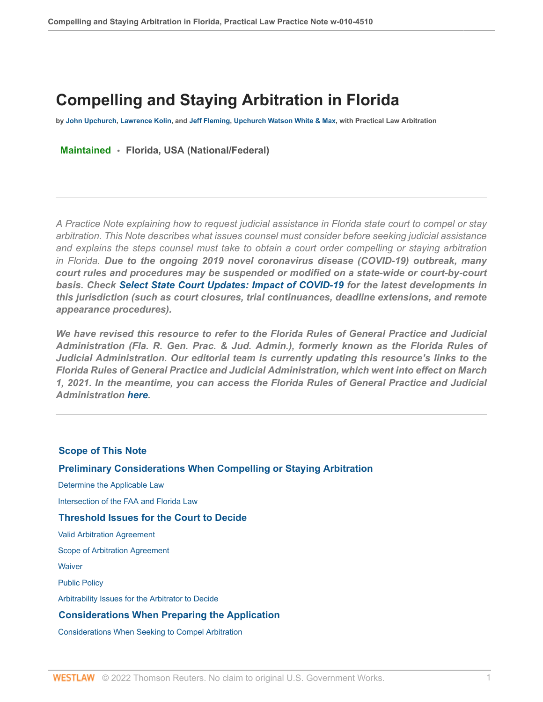# **Compelling and Staying Arbitration in Florida**

**by [John Upchurch](http://www.uww-adr.com/biography/john-j-upchurch), [Lawrence Kolin](http://www.uww-adr.com/biography/lawrence-h-kolin), and [Jeff Fleming](http://www.uww-adr.com/biography/jeffrey-m-fleming), [Upchurch Watson White & Max,](http://www.uww-adr.com/) with Practical Law Arbitration**

**Maintained • Florida, USA (National/Federal)**

*A Practice Note explaining how to request judicial assistance in Florida state court to compel or stay arbitration. This Note describes what issues counsel must consider before seeking judicial assistance and explains the steps counsel must take to obtain a court order compelling or staying arbitration in Florida. Due to the ongoing 2019 novel coronavirus disease (COVID-19) outbreak, many court rules and procedures may be suspended or modified on a state-wide or court-by-court basis. Check [Select State Court Updates: Impact of COVID-19](http://www.westlaw.com/Document/I3cbc7803683511eaadfea82903531a62/View/FullText.html?originationContext=document&vr=3.0&rs=cblt1.0&transitionType=DocumentItem&contextData=(sc.Default)) for the latest developments in this jurisdiction (such as court closures, trial continuances, deadline extensions, and remote appearance procedures).*

*We have revised this resource to refer to the Florida Rules of General Practice and Judicial Administration (Fla. R. Gen. Prac. & Jud. Admin.), formerly known as the Florida Rules of Judicial Administration. Our editorial team is currently updating this resource's links to the Florida Rules of General Practice and Judicial Administration, which went into effect on March 1, 2021. In the meantime, you can access the Florida Rules of General Practice and Judicial Administration [here.](https://nam02.safelinks.protection.outlook.com/?url=https%3A%2F%2Fwww.westlaw.com%2FBrowse%2FHome%2FStatutesCourtRules%2FFloridaStatutesCourtRules%3Fguid%3DNCE6C7FA09F2E11DAABB2C3422F8B1766%26transitionType%3DDefault%26contextData%3D(sc.Default)%26VR%3D3.0%26RS%3Dcblt1.0&data=04%7C01%7CJohn-Paul.Rodriguez%40thomsonreuters.com%7C06186500875d48ec38af08d8e269565e%7C62ccb8646a1a4b5d8e1c397dec1a8258%7C0%7C0%7C637508289325990530%7CUnknown%7CTWFpbGZsb3d8eyJWIjoiMC4wLjAwMDAiLCJQIjoiV2luMzIiLCJBTiI6Ik1haWwiLCJXVCI6Mn0%3D%7C1000&sdata=kEBSm%2FmGiiGOLMMH2M7uSr9WQNmGa%2FCfm5QRTbnJlV4%3D&reserved=0 )*

## **[Scope of This Note](#page-1-0)**

## **[Preliminary Considerations When Compelling or Staying Arbitration](#page-1-1)**

 [Determine the Applicable Law](#page-1-2)

 [Intersection of the FAA and Florida Law](#page-2-0)

## **[Threshold Issues for the Court to Decide](#page-3-0)**

 [Valid Arbitration Agreement](#page-4-0)

 [Scope of Arbitration Agreement](#page-5-0)

**Waiver** 

 [Public Policy](#page-6-0)

 [Arbitrability Issues for the Arbitrator to Decide](#page-6-1)

#### **[Considerations When Preparing the Application](#page-7-0)**

 [Considerations When Seeking to Compel Arbitration](#page-7-1)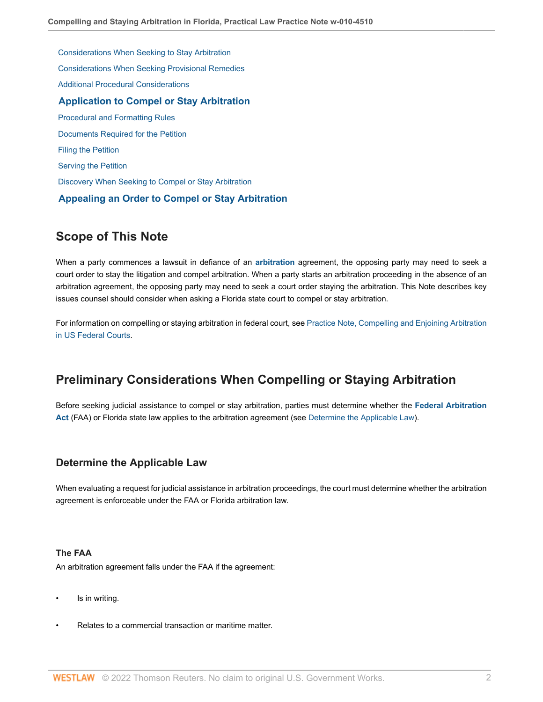[Considerations When Seeking to Stay Arbitration](#page-7-2)  [Considerations When Seeking Provisional Remedies](#page-8-0)  [Additional Procedural Considerations](#page-8-1)  **[Application to Compel or Stay Arbitration](#page-10-0)**  [Procedural and Formatting Rules](#page-11-0)  [Documents Required for the Petition](#page-12-0)  [Filing the Petition](#page-13-0)  [Serving the Petition](#page-14-0)  [Discovery When Seeking to Compel or Stay Arbitration](#page-15-0)  **[Appealing an Order to Compel or Stay Arbitration](#page-15-1)**

# <span id="page-1-0"></span>**Scope of This Note**

When a party commences a lawsuit in defiance of an **[arbitration](http://www.westlaw.com/Document/I0f9fbdfdef0811e28578f7ccc38dcbee/View/FullText.html?originationContext=document&vr=3.0&rs=cblt1.0&transitionType=DocumentItem&contextData=(sc.Default))** agreement, the opposing party may need to seek a court order to stay the litigation and compel arbitration. When a party starts an arbitration proceeding in the absence of an arbitration agreement, the opposing party may need to seek a court order staying the arbitration. This Note describes key issues counsel should consider when asking a Florida state court to compel or stay arbitration.

For information on compelling or staying arbitration in federal court, see [Practice Note, Compelling and Enjoining Arbitration](http://www.westlaw.com/Document/I630e9697141b11e498db8b09b4f043e0/View/FullText.html?originationContext=document&vr=3.0&rs=cblt1.0&transitionType=DocumentItem&contextData=(sc.Default)) [in US Federal Courts.](http://www.westlaw.com/Document/I630e9697141b11e498db8b09b4f043e0/View/FullText.html?originationContext=document&vr=3.0&rs=cblt1.0&transitionType=DocumentItem&contextData=(sc.Default))

# <span id="page-1-1"></span>**Preliminary Considerations When Compelling or Staying Arbitration**

Before seeking judicial assistance to compel or stay arbitration, parties must determine whether the **[Federal Arbitration](http://www.westlaw.com/Document/Ibb0a1216ef0511e28578f7ccc38dcbee/View/FullText.html?originationContext=document&vr=3.0&rs=cblt1.0&transitionType=DocumentItem&contextData=(sc.Default)) [Act](http://www.westlaw.com/Document/Ibb0a1216ef0511e28578f7ccc38dcbee/View/FullText.html?originationContext=document&vr=3.0&rs=cblt1.0&transitionType=DocumentItem&contextData=(sc.Default))** (FAA) or Florida state law applies to the arbitration agreement (see [Determine the Applicable Law](#page-1-2)).

# <span id="page-1-2"></span>**Determine the Applicable Law**

When evaluating a request for judicial assistance in arbitration proceedings, the court must determine whether the arbitration agreement is enforceable under the FAA or Florida arbitration law.

## **The FAA**

An arbitration agreement falls under the FAA if the agreement:

- Is in writing.
- Relates to a commercial transaction or maritime matter.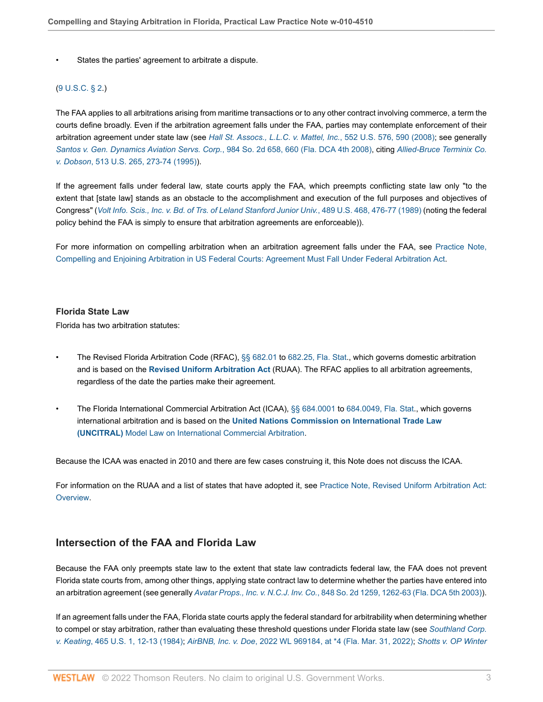States the parties' agreement to arbitrate a dispute.

#### ([9 U.S.C. § 2.](http://www.westlaw.com/Link/Document/FullText?findType=L&pubNum=1000546&cite=9USCAS2&originatingDoc=Idf2140f19e0d11e79bef99c0ee06c731&refType=LQ&originationContext=document&vr=3.0&rs=cblt1.0&transitionType=PLDocumentLink&billingHash=0752ED4C2A16292A6503FB49B8AEC9A0923C05A6073DAF33D4C8823FDC3EF458&contextData=(sc.Default)))

The FAA applies to all arbitrations arising from maritime transactions or to any other contract involving commerce, a term the courts define broadly. Even if the arbitration agreement falls under the FAA, parties may contemplate enforcement of their arbitration agreement under state law (see *[Hall St. Assocs., L.L.C. v. Mattel, Inc.](http://www.westlaw.com/Link/Document/FullText?findType=Y&serNum=2015553668&pubNum=0000780&originatingDoc=Idf2140f19e0d11e79bef99c0ee06c731&refType=RP&fi=co_pp_sp_780_590&originationContext=document&vr=3.0&rs=cblt1.0&transitionType=PLDocumentLink&billingHash=AC35F6ED31A24662319E64260D92EF8C75B3AB89D9FE8C637BAE04A62F60D98E&contextData=(sc.Default)#co_pp_sp_780_590)*, 552 U.S. 576, 590 (2008); see generally *[Santos v. Gen. Dynamics Aviation Servs. Corp.](http://www.westlaw.com/Link/Document/FullText?findType=Y&serNum=2016380301&pubNum=0000735&originatingDoc=Idf2140f19e0d11e79bef99c0ee06c731&refType=RP&fi=co_pp_sp_735_660&originationContext=document&vr=3.0&rs=cblt1.0&transitionType=PLDocumentLink&billingHash=2D3506B2A1203D64A9A222408C553E5C602F378243DA4899274B2BAA7F745323&contextData=(sc.Default)#co_pp_sp_735_660)*, 984 So. 2d 658, 660 (Fla. DCA 4th 2008), citing *[Allied-Bruce Terminix Co.](http://www.westlaw.com/Link/Document/FullText?findType=Y&serNum=1995030814&pubNum=0000780&originatingDoc=Idf2140f19e0d11e79bef99c0ee06c731&refType=RP&fi=co_pp_sp_780_273&originationContext=document&vr=3.0&rs=cblt1.0&transitionType=PLDocumentLink&billingHash=A159FEE083AF9EC29781E0B919480FCE4A33B623ED823015059D11E67FC8A8B9&contextData=(sc.Default)#co_pp_sp_780_273) v. Dobson*[, 513 U.S. 265, 273-74 \(1995\)\)](http://www.westlaw.com/Link/Document/FullText?findType=Y&serNum=1995030814&pubNum=0000780&originatingDoc=Idf2140f19e0d11e79bef99c0ee06c731&refType=RP&fi=co_pp_sp_780_273&originationContext=document&vr=3.0&rs=cblt1.0&transitionType=PLDocumentLink&billingHash=A159FEE083AF9EC29781E0B919480FCE4A33B623ED823015059D11E67FC8A8B9&contextData=(sc.Default)#co_pp_sp_780_273).

If the agreement falls under federal law, state courts apply the FAA, which preempts conflicting state law only "to the extent that [state law] stands as an obstacle to the accomplishment and execution of the full purposes and objectives of Congress" (*[Volt Info. Scis., Inc. v. Bd. of Trs. of Leland Stanford Junior Univ.](http://www.westlaw.com/Link/Document/FullText?findType=Y&serNum=1989032283&pubNum=0000780&originatingDoc=Idf2140f19e0d11e79bef99c0ee06c731&refType=RP&fi=co_pp_sp_780_476&originationContext=document&vr=3.0&rs=cblt1.0&transitionType=PLDocumentLink&billingHash=50A0C1467D4876363C398516800DBB7E49F53D3DCE05B3E9747A4B8DBFA27528&contextData=(sc.Default)#co_pp_sp_780_476)*, 489 U.S. 468, 476-77 (1989) (noting the federal policy behind the FAA is simply to ensure that arbitration agreements are enforceable)).

For more information on compelling arbitration when an arbitration agreement falls under the FAA, see [Practice Note,](http://www.westlaw.com/Document/I630e9697141b11e498db8b09b4f043e0/View/FullText.html?originationContext=document&vr=3.0&rs=cblt1.0&transitionType=DocumentItem&contextData=(sc.Default)#co_anchor_a858694) [Compelling and Enjoining Arbitration in US Federal Courts: Agreement Must Fall Under Federal Arbitration Act.](http://www.westlaw.com/Document/I630e9697141b11e498db8b09b4f043e0/View/FullText.html?originationContext=document&vr=3.0&rs=cblt1.0&transitionType=DocumentItem&contextData=(sc.Default)#co_anchor_a858694)

#### **Florida State Law**

Florida has two arbitration statutes:

- The Revised Florida Arbitration Code (RFAC), [§§ 682.01](http://www.westlaw.com/Link/Document/FullText?findType=L&pubNum=1000006&cite=FLSTS682.01&originatingDoc=Idf2140f19e0d11e79bef99c0ee06c731&refType=LQ&originationContext=document&vr=3.0&rs=cblt1.0&transitionType=PLDocumentLink&billingHash=FCE2AF73871F491DCC4D1D8E85E9DD42749E580BDDA3A9DECB64A8DD80BF269D&contextData=(sc.Default)) to [682.25, Fla. Stat.](http://www.westlaw.com/Link/Document/FullText?findType=L&pubNum=1000006&cite=FLSTS682.25&originatingDoc=Idf2140f19e0d11e79bef99c0ee06c731&refType=LQ&originationContext=document&vr=3.0&rs=cblt1.0&transitionType=PLDocumentLink&billingHash=4ED9E85B79C2C6F96EF8633D33E4994EE97E4B64B8355BBD0DDC512129474D4C&contextData=(sc.Default)), which governs domestic arbitration and is based on the **[Revised Uniform Arbitration Act](http://www.westlaw.com/Document/I08296720dde511e8a5b3e3d9e23d7429/View/FullText.html?originationContext=document&vr=3.0&rs=cblt1.0&transitionType=DocumentItem&contextData=(sc.Default))** (RUAA). The RFAC applies to all arbitration agreements, regardless of the date the parties make their agreement.
- The Florida International Commercial Arbitration Act (ICAA), [§§ 684.0001](http://www.westlaw.com/Link/Document/FullText?findType=L&pubNum=1000006&cite=FLSTS684.0001&originatingDoc=Idf2140f19e0d11e79bef99c0ee06c731&refType=LQ&originationContext=document&vr=3.0&rs=cblt1.0&transitionType=PLDocumentLink&billingHash=5F14315B950FCA0F85568D23D96EFA58957F0707E388171FF5E8520D818ECE30&contextData=(sc.Default)) to [684.0049, Fla. Stat.](http://www.westlaw.com/Link/Document/FullText?findType=L&pubNum=1000006&cite=FLSTS684.0049&originatingDoc=Idf2140f19e0d11e79bef99c0ee06c731&refType=LQ&originationContext=document&vr=3.0&rs=cblt1.0&transitionType=PLDocumentLink&billingHash=92979C8194F7ADA3D1CA035189A836FB5F515A70AF7745E8E5DCB4A373FF8D87&contextData=(sc.Default)), which governs international arbitration and is based on the **[United Nations Commission on International Trade Law](http://www.westlaw.com/Document/I4cf8714bef2a11e28578f7ccc38dcbee/View/FullText.html?originationContext=document&vr=3.0&rs=cblt1.0&transitionType=DocumentItem&contextData=(sc.Default)) [\(UNCITRAL\)](http://www.westlaw.com/Document/I4cf8714bef2a11e28578f7ccc38dcbee/View/FullText.html?originationContext=document&vr=3.0&rs=cblt1.0&transitionType=DocumentItem&contextData=(sc.Default))** [Model Law on International Commercial Arbitration](https://uncitral.un.org/en/texts/arbitration/modellaw/commercial_arbitration ).

Because the ICAA was enacted in 2010 and there are few cases construing it, this Note does not discuss the ICAA.

For information on the RUAA and a list of states that have adopted it, see [Practice Note, Revised Uniform Arbitration Act:](http://www.westlaw.com/Document/I79a88819a82611e698dc8b09b4f043e0/View/FullText.html?originationContext=document&vr=3.0&rs=cblt1.0&transitionType=DocumentItem&contextData=(sc.Default)) [Overview](http://www.westlaw.com/Document/I79a88819a82611e698dc8b09b4f043e0/View/FullText.html?originationContext=document&vr=3.0&rs=cblt1.0&transitionType=DocumentItem&contextData=(sc.Default)).

## <span id="page-2-0"></span>**Intersection of the FAA and Florida Law**

Because the FAA only preempts state law to the extent that state law contradicts federal law, the FAA does not prevent Florida state courts from, among other things, applying state contract law to determine whether the parties have entered into an arbitration agreement (see generally *Avatar Props., Inc. v. N.C.J. Inv. Co.*[, 848 So. 2d 1259, 1262-63 \(Fla. DCA 5th 2003\)\)](http://www.westlaw.com/Link/Document/FullText?findType=Y&serNum=2003488902&pubNum=0000735&originatingDoc=Idf2140f19e0d11e79bef99c0ee06c731&refType=RP&fi=co_pp_sp_735_1262&originationContext=document&vr=3.0&rs=cblt1.0&transitionType=PLDocumentLink&billingHash=3764B6B03EE51BDE9F52936EC727A5A7EE33B211A34A4A1C70C981F0E2EF22EA&contextData=(sc.Default)#co_pp_sp_735_1262).

If an agreement falls under the FAA, Florida state courts apply the federal standard for arbitrability when determining whether to compel or stay arbitration, rather than evaluating these threshold questions under Florida state law (see *[Southland Corp.](http://www.westlaw.com/Link/Document/FullText?findType=Y&serNum=1984104100&pubNum=0000780&originatingDoc=Idf2140f19e0d11e79bef99c0ee06c731&refType=RP&fi=co_pp_sp_780_12&originationContext=document&vr=3.0&rs=cblt1.0&transitionType=PLDocumentLink&billingHash=214E7E441F5D2805C95B25A3AF9230C449B67B6C0D3E7E8F6B71192CBC336301&contextData=(sc.Default)#co_pp_sp_780_12) v. Keating*[, 465 U.S. 1, 12-13 \(1984\)](http://www.westlaw.com/Link/Document/FullText?findType=Y&serNum=1984104100&pubNum=0000780&originatingDoc=Idf2140f19e0d11e79bef99c0ee06c731&refType=RP&fi=co_pp_sp_780_12&originationContext=document&vr=3.0&rs=cblt1.0&transitionType=PLDocumentLink&billingHash=214E7E441F5D2805C95B25A3AF9230C449B67B6C0D3E7E8F6B71192CBC336301&contextData=(sc.Default)#co_pp_sp_780_12); *AirBNB, Inc. v. Doe*[, 2022 WL 969184, at \\*4 \(Fla. Mar. 31, 2022\);](http://www.westlaw.com/Link/Document/FullText?findType=Y&serNum=2055860588&pubNum=0000999&originatingDoc=Idf2140f19e0d11e79bef99c0ee06c731&refType=RP&fi=co_pp_sp_999_4&originationContext=document&vr=3.0&rs=cblt1.0&transitionType=PLDocumentLink&billingHash=350E48C11C1EC02C0509D3E8A0702A03B27543A9358043C14032E660447687F4&contextData=(sc.Default)#co_pp_sp_999_4) *[Shotts v. OP Winter](http://www.westlaw.com/Link/Document/FullText?findType=Y&serNum=2026556139&pubNum=0003926&originatingDoc=Idf2140f19e0d11e79bef99c0ee06c731&refType=RP&fi=co_pp_sp_3926_463&originationContext=document&vr=3.0&rs=cblt1.0&transitionType=PLDocumentLink&billingHash=F346C0CAB412D59883E234B65D8D7A0FCCDE71464585D7FB8F8C97B8B59B0CB6&contextData=(sc.Default)#co_pp_sp_3926_463)*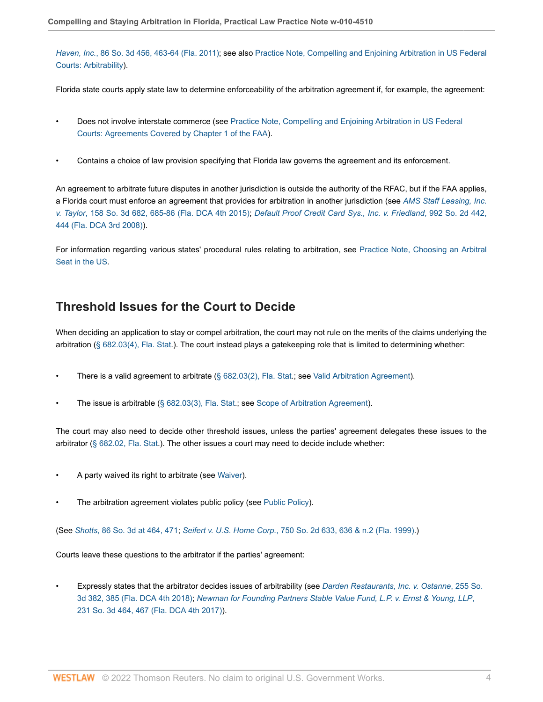*Haven, Inc.*[, 86 So. 3d 456, 463-64 \(Fla. 2011\)](http://www.westlaw.com/Link/Document/FullText?findType=Y&serNum=2026556139&pubNum=0003926&originatingDoc=Idf2140f19e0d11e79bef99c0ee06c731&refType=RP&fi=co_pp_sp_3926_463&originationContext=document&vr=3.0&rs=cblt1.0&transitionType=PLDocumentLink&billingHash=F346C0CAB412D59883E234B65D8D7A0FCCDE71464585D7FB8F8C97B8B59B0CB6&contextData=(sc.Default)#co_pp_sp_3926_463); see also [Practice Note, Compelling and Enjoining Arbitration in US Federal](http://www.westlaw.com/Document/I630e9697141b11e498db8b09b4f043e0/View/FullText.html?originationContext=document&vr=3.0&rs=cblt1.0&transitionType=DocumentItem&contextData=(sc.Default)#co_anchor_a91093) [Courts: Arbitrability\)](http://www.westlaw.com/Document/I630e9697141b11e498db8b09b4f043e0/View/FullText.html?originationContext=document&vr=3.0&rs=cblt1.0&transitionType=DocumentItem&contextData=(sc.Default)#co_anchor_a91093).

Florida state courts apply state law to determine enforceability of the arbitration agreement if, for example, the agreement:

- Does not involve interstate commerce (see [Practice Note, Compelling and Enjoining Arbitration in US Federal](http://www.westlaw.com/Document/I630e9697141b11e498db8b09b4f043e0/View/FullText.html?originationContext=document&vr=3.0&rs=cblt1.0&transitionType=DocumentItem&contextData=(sc.Default)#co_anchor_a253903) [Courts: Agreements Covered by Chapter 1 of the FAA\)](http://www.westlaw.com/Document/I630e9697141b11e498db8b09b4f043e0/View/FullText.html?originationContext=document&vr=3.0&rs=cblt1.0&transitionType=DocumentItem&contextData=(sc.Default)#co_anchor_a253903).
- Contains a choice of law provision specifying that Florida law governs the agreement and its enforcement.

An agreement to arbitrate future disputes in another jurisdiction is outside the authority of the RFAC, but if the FAA applies, a Florida court must enforce an agreement that provides for arbitration in another jurisdiction (see *[AMS Staff Leasing, Inc.](http://www.westlaw.com/Link/Document/FullText?findType=Y&serNum=2035223787&pubNum=0003926&originatingDoc=Idf2140f19e0d11e79bef99c0ee06c731&refType=RP&fi=co_pp_sp_3926_685&originationContext=document&vr=3.0&rs=cblt1.0&transitionType=PLDocumentLink&billingHash=A3645AA3203377CCD4DB184813D2A7154416BE5F8BA5176BCBC062DE37FF39B8&contextData=(sc.Default)#co_pp_sp_3926_685) v. Taylor*[, 158 So. 3d 682, 685-86 \(Fla. DCA 4th 2015\)](http://www.westlaw.com/Link/Document/FullText?findType=Y&serNum=2035223787&pubNum=0003926&originatingDoc=Idf2140f19e0d11e79bef99c0ee06c731&refType=RP&fi=co_pp_sp_3926_685&originationContext=document&vr=3.0&rs=cblt1.0&transitionType=PLDocumentLink&billingHash=A3645AA3203377CCD4DB184813D2A7154416BE5F8BA5176BCBC062DE37FF39B8&contextData=(sc.Default)#co_pp_sp_3926_685); *[Default Proof Credit Card Sys., Inc. v. Friedland](http://www.westlaw.com/Link/Document/FullText?findType=Y&serNum=2016994755&pubNum=0000735&originatingDoc=Idf2140f19e0d11e79bef99c0ee06c731&refType=RP&fi=co_pp_sp_735_444&originationContext=document&vr=3.0&rs=cblt1.0&transitionType=PLDocumentLink&billingHash=5A53E95E8ACA4A3C62093AFEB40912AF3339FAF6296BF9C6A3C5E09B58181F2C&contextData=(sc.Default)#co_pp_sp_735_444)*, 992 So. 2d 442, [444 \(Fla. DCA 3rd 2008\)\)](http://www.westlaw.com/Link/Document/FullText?findType=Y&serNum=2016994755&pubNum=0000735&originatingDoc=Idf2140f19e0d11e79bef99c0ee06c731&refType=RP&fi=co_pp_sp_735_444&originationContext=document&vr=3.0&rs=cblt1.0&transitionType=PLDocumentLink&billingHash=5A53E95E8ACA4A3C62093AFEB40912AF3339FAF6296BF9C6A3C5E09B58181F2C&contextData=(sc.Default)#co_pp_sp_735_444).

For information regarding various states' procedural rules relating to arbitration, see [Practice Note, Choosing an Arbitral](http://www.westlaw.com/Document/Id4cf6a35f3ad11e28578f7ccc38dcbee/View/FullText.html?originationContext=document&vr=3.0&rs=cblt1.0&transitionType=DocumentItem&contextData=(sc.Default)) [Seat in the US.](http://www.westlaw.com/Document/Id4cf6a35f3ad11e28578f7ccc38dcbee/View/FullText.html?originationContext=document&vr=3.0&rs=cblt1.0&transitionType=DocumentItem&contextData=(sc.Default))

# <span id="page-3-0"></span>**Threshold Issues for the Court to Decide**

When deciding an application to stay or compel arbitration, the court may not rule on the merits of the claims underlying the arbitration [\(§ 682.03\(4\), Fla. Stat.](http://www.westlaw.com/Link/Document/FullText?findType=L&pubNum=1000006&cite=FLSTS682.03&originatingDoc=Idf2140f19e0d11e79bef99c0ee06c731&refType=SP&originationContext=document&vr=3.0&rs=cblt1.0&transitionType=PLDocumentLink&billingHash=67A8F4EF7359CB066B3705B820A9E8F4CE4E95C886255ADA244DD22EF44C8D67&contextData=(sc.Default)#co_pp_0bd500007a412)). The court instead plays a gatekeeping role that is limited to determining whether:

- There is a valid agreement to arbitrate [\(§ 682.03\(2\), Fla. Stat.](http://www.westlaw.com/Link/Document/FullText?findType=L&pubNum=1000006&cite=FLSTS682.03&originatingDoc=Idf2140f19e0d11e79bef99c0ee06c731&refType=SP&originationContext=document&vr=3.0&rs=cblt1.0&transitionType=PLDocumentLink&billingHash=67A8F4EF7359CB066B3705B820A9E8F4CE4E95C886255ADA244DD22EF44C8D67&contextData=(sc.Default)#co_pp_58730000872b1); see [Valid Arbitration Agreement\)](#page-4-0).
- The issue is arbitrable [\(§ 682.03\(3\), Fla. Stat.](http://www.westlaw.com/Link/Document/FullText?findType=L&pubNum=1000006&cite=FLSTS682.03&originatingDoc=Idf2140f19e0d11e79bef99c0ee06c731&refType=SP&originationContext=document&vr=3.0&rs=cblt1.0&transitionType=PLDocumentLink&billingHash=67A8F4EF7359CB066B3705B820A9E8F4CE4E95C886255ADA244DD22EF44C8D67&contextData=(sc.Default)#co_pp_d08f0000f5f67); see [Scope of Arbitration Agreement\)](#page-5-0).

The court may also need to decide other threshold issues, unless the parties' agreement delegates these issues to the arbitrator [\(§ 682.02, Fla. Stat.](http://www.westlaw.com/Link/Document/FullText?findType=L&pubNum=1000006&cite=FLSTS682.02&originatingDoc=Idf2140f19e0d11e79bef99c0ee06c731&refType=LQ&originationContext=document&vr=3.0&rs=cblt1.0&transitionType=PLDocumentLink&billingHash=C141605F9E887ADD56380E9157983CAAA0D14A58B71E8460A8CF78A4F3B4CCE8&contextData=(sc.Default))). The other issues a court may need to decide include whether:

- A party waived its right to arbitrate (see [Waiver](#page-5-1)).
- The arbitration agreement violates public policy (see [Public Policy](#page-6-0)).

(See *Shotts*[, 86 So. 3d at 464, 471;](http://www.westlaw.com/Link/Document/FullText?findType=Y&serNum=2026556139&pubNum=0003926&originatingDoc=Idf2140f19e0d11e79bef99c0ee06c731&refType=RP&fi=co_pp_sp_3926_464&originationContext=document&vr=3.0&rs=cblt1.0&transitionType=PLDocumentLink&billingHash=F346C0CAB412D59883E234B65D8D7A0FCCDE71464585D7FB8F8C97B8B59B0CB6&contextData=(sc.Default)#co_pp_sp_3926_464) *Seifert v. U.S. Home Corp.*[, 750 So. 2d 633, 636 & n.2 \(Fla. 1999\)](http://www.westlaw.com/Link/Document/FullText?findType=Y&serNum=1999255476&pubNum=0000735&originatingDoc=Idf2140f19e0d11e79bef99c0ee06c731&refType=RP&fi=co_pp_sp_735_636&originationContext=document&vr=3.0&rs=cblt1.0&transitionType=PLDocumentLink&billingHash=3F8372B34B10A8589C1A7180BFE7058E2557FDE6D76139263DD957F63F02B6AC&contextData=(sc.Default)#co_pp_sp_735_636).)

Courts leave these questions to the arbitrator if the parties' agreement:

• Expressly states that the arbitrator decides issues of arbitrability (see *[Darden Restaurants, Inc. v. Ostanne](http://www.westlaw.com/Link/Document/FullText?findType=Y&serNum=2045651602&pubNum=0003926&originatingDoc=Idf2140f19e0d11e79bef99c0ee06c731&refType=RP&fi=co_pp_sp_3926_385&originationContext=document&vr=3.0&rs=cblt1.0&transitionType=PLDocumentLink&billingHash=2E70E0F28AAC9944A1B7DF9FC03B9C2E02711C362072A598EB640218D9F94A6B&contextData=(sc.Default)#co_pp_sp_3926_385)*, 255 So. [3d 382, 385 \(Fla. DCA 4th 2018\);](http://www.westlaw.com/Link/Document/FullText?findType=Y&serNum=2045651602&pubNum=0003926&originatingDoc=Idf2140f19e0d11e79bef99c0ee06c731&refType=RP&fi=co_pp_sp_3926_385&originationContext=document&vr=3.0&rs=cblt1.0&transitionType=PLDocumentLink&billingHash=2E70E0F28AAC9944A1B7DF9FC03B9C2E02711C362072A598EB640218D9F94A6B&contextData=(sc.Default)#co_pp_sp_3926_385) *[Newman for Founding Partners Stable Value Fund, L.P. v. Ernst & Young, LLP](http://www.westlaw.com/Link/Document/FullText?findType=Y&serNum=2042862281&pubNum=0003926&originatingDoc=Idf2140f19e0d11e79bef99c0ee06c731&refType=RP&fi=co_pp_sp_3926_467&originationContext=document&vr=3.0&rs=cblt1.0&transitionType=PLDocumentLink&billingHash=1459D1678CC914DB284EFCB769C3C05173809CAC1D1578510B705EC10D9A0C86&contextData=(sc.Default)#co_pp_sp_3926_467)*, [231 So. 3d 464, 467 \(Fla. DCA 4th 2017\)](http://www.westlaw.com/Link/Document/FullText?findType=Y&serNum=2042862281&pubNum=0003926&originatingDoc=Idf2140f19e0d11e79bef99c0ee06c731&refType=RP&fi=co_pp_sp_3926_467&originationContext=document&vr=3.0&rs=cblt1.0&transitionType=PLDocumentLink&billingHash=1459D1678CC914DB284EFCB769C3C05173809CAC1D1578510B705EC10D9A0C86&contextData=(sc.Default)#co_pp_sp_3926_467)).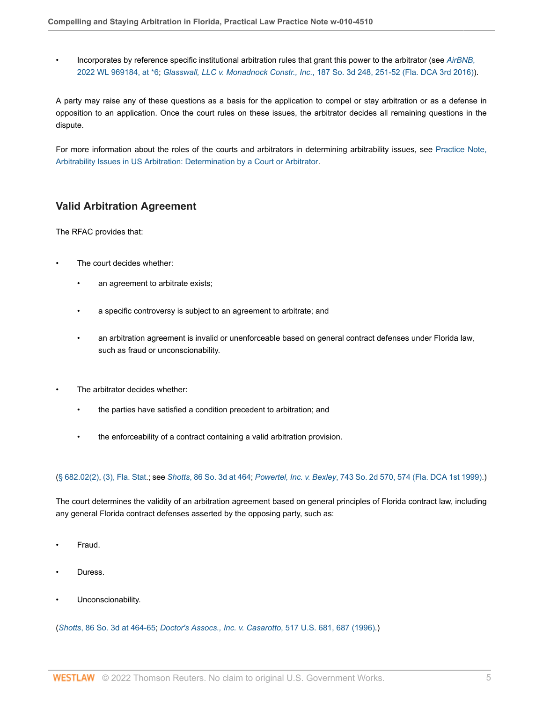• Incorporates by reference specific institutional arbitration rules that grant this power to the arbitrator (see *[AirBNB](http://www.westlaw.com/Link/Document/FullText?findType=Y&serNum=2055860588&pubNum=0000999&originatingDoc=Idf2140f19e0d11e79bef99c0ee06c731&refType=RP&fi=co_pp_sp_999_6&originationContext=document&vr=3.0&rs=cblt1.0&transitionType=PLDocumentLink&billingHash=350E48C11C1EC02C0509D3E8A0702A03B27543A9358043C14032E660447687F4&contextData=(sc.Default)#co_pp_sp_999_6)*, [2022 WL 969184, at \\*6;](http://www.westlaw.com/Link/Document/FullText?findType=Y&serNum=2055860588&pubNum=0000999&originatingDoc=Idf2140f19e0d11e79bef99c0ee06c731&refType=RP&fi=co_pp_sp_999_6&originationContext=document&vr=3.0&rs=cblt1.0&transitionType=PLDocumentLink&billingHash=350E48C11C1EC02C0509D3E8A0702A03B27543A9358043C14032E660447687F4&contextData=(sc.Default)#co_pp_sp_999_6) *Glasswall, LLC v. Monadnock Constr., Inc.*[, 187 So. 3d 248, 251-52 \(Fla. DCA 3rd 2016\)](http://www.westlaw.com/Link/Document/FullText?findType=Y&serNum=2038164928&pubNum=0003926&originatingDoc=Idf2140f19e0d11e79bef99c0ee06c731&refType=RP&fi=co_pp_sp_3926_251&originationContext=document&vr=3.0&rs=cblt1.0&transitionType=PLDocumentLink&billingHash=E5F6299918A8A7B2341DFCDCE94FB2E36E05DC38030C4EB34CE2712C664B35B0&contextData=(sc.Default)#co_pp_sp_3926_251)).

A party may raise any of these questions as a basis for the application to compel or stay arbitration or as a defense in opposition to an application. Once the court rules on these issues, the arbitrator decides all remaining questions in the dispute.

For more information about the roles of the courts and arbitrators in determining arbitrability issues, see [Practice Note,](http://www.westlaw.com/Document/I80b60e2fc39f11e698dc8b09b4f043e0/View/FullText.html?originationContext=document&vr=3.0&rs=cblt1.0&transitionType=DocumentItem&contextData=(sc.Default)) [Arbitrability Issues in US Arbitration: Determination by a Court or Arbitrator.](http://www.westlaw.com/Document/I80b60e2fc39f11e698dc8b09b4f043e0/View/FullText.html?originationContext=document&vr=3.0&rs=cblt1.0&transitionType=DocumentItem&contextData=(sc.Default))

# <span id="page-4-0"></span>**Valid Arbitration Agreement**

The RFAC provides that:

- The court decides whether:
	- an agreement to arbitrate exists;
	- a specific controversy is subject to an agreement to arbitrate; and
	- an arbitration agreement is invalid or unenforceable based on general contract defenses under Florida law, such as fraud or unconscionability.
- The arbitrator decides whether:
	- the parties have satisfied a condition precedent to arbitration; and
	- the enforceability of a contract containing a valid arbitration provision.

#### ([§ 682.02\(2\),](http://www.westlaw.com/Link/Document/FullText?findType=L&pubNum=1000006&cite=FLSTS682.02&originatingDoc=Idf2140f19e0d11e79bef99c0ee06c731&refType=SP&originationContext=document&vr=3.0&rs=cblt1.0&transitionType=PLDocumentLink&billingHash=C141605F9E887ADD56380E9157983CAAA0D14A58B71E8460A8CF78A4F3B4CCE8&contextData=(sc.Default)#co_pp_58730000872b1) [\(3\), Fla. Stat.](http://www.westlaw.com/Link/Document/FullText?findType=L&pubNum=1000006&cite=FLSTS682.02&originatingDoc=Idf2140f19e0d11e79bef99c0ee06c731&refType=SP&originationContext=document&vr=3.0&rs=cblt1.0&transitionType=PLDocumentLink&billingHash=C141605F9E887ADD56380E9157983CAAA0D14A58B71E8460A8CF78A4F3B4CCE8&contextData=(sc.Default)#co_pp_d08f0000f5f67); see *Shotts*[, 86 So. 3d at 464;](http://www.westlaw.com/Link/Document/FullText?findType=Y&serNum=2026556139&pubNum=0003926&originatingDoc=Idf2140f19e0d11e79bef99c0ee06c731&refType=RP&fi=co_pp_sp_3926_464&originationContext=document&vr=3.0&rs=cblt1.0&transitionType=PLDocumentLink&billingHash=F346C0CAB412D59883E234B65D8D7A0FCCDE71464585D7FB8F8C97B8B59B0CB6&contextData=(sc.Default)#co_pp_sp_3926_464) *Powertel, Inc. v. Bexley*[, 743 So. 2d 570, 574 \(Fla. DCA 1st 1999\).](http://www.westlaw.com/Link/Document/FullText?findType=Y&serNum=1999202731&pubNum=0000735&originatingDoc=Idf2140f19e0d11e79bef99c0ee06c731&refType=RP&fi=co_pp_sp_735_574&originationContext=document&vr=3.0&rs=cblt1.0&transitionType=PLDocumentLink&billingHash=3D042CA3A790F6787E1F48CF758D51D13794431B95DC76669BFC9E7A1B61DF0D&contextData=(sc.Default)#co_pp_sp_735_574))

The court determines the validity of an arbitration agreement based on general principles of Florida contract law, including any general Florida contract defenses asserted by the opposing party, such as:

- Fraud.
- Duress.
- Unconscionability.

(*Shotts*[, 86 So. 3d at 464-65](http://www.westlaw.com/Link/Document/FullText?findType=Y&serNum=2026556139&pubNum=0003926&originatingDoc=Idf2140f19e0d11e79bef99c0ee06c731&refType=RP&fi=co_pp_sp_3926_464&originationContext=document&vr=3.0&rs=cblt1.0&transitionType=PLDocumentLink&billingHash=F346C0CAB412D59883E234B65D8D7A0FCCDE71464585D7FB8F8C97B8B59B0CB6&contextData=(sc.Default)#co_pp_sp_3926_464); *[Doctor's Assocs., Inc. v. Casarotto](http://www.westlaw.com/Link/Document/FullText?findType=Y&serNum=1996118397&pubNum=0000780&originatingDoc=Idf2140f19e0d11e79bef99c0ee06c731&refType=RP&fi=co_pp_sp_780_687&originationContext=document&vr=3.0&rs=cblt1.0&transitionType=PLDocumentLink&billingHash=9180F46E2B64C36EE807EF1FABF94BD91CD694684248DAC192BE2D3A9473DBD3&contextData=(sc.Default)#co_pp_sp_780_687)*, 517 U.S. 681, 687 (1996).)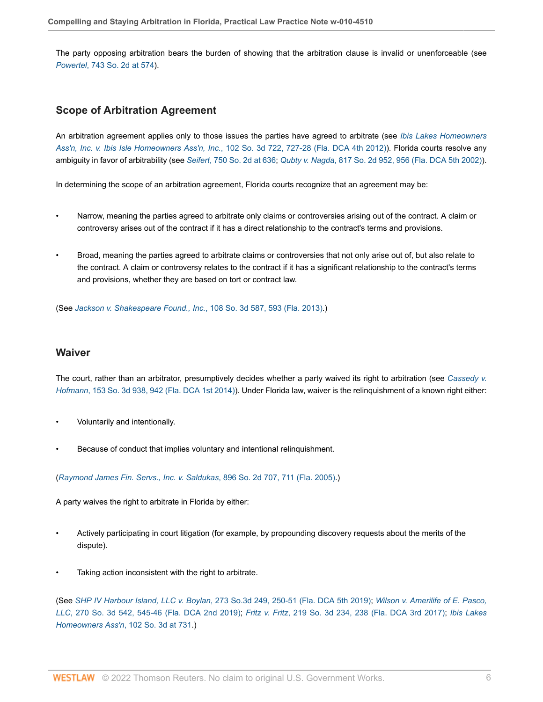The party opposing arbitration bears the burden of showing that the arbitration clause is invalid or unenforceable (see *Powertel*[, 743 So. 2d at 574\)](http://www.westlaw.com/Link/Document/FullText?findType=Y&serNum=1999202731&pubNum=0000735&originatingDoc=Idf2140f19e0d11e79bef99c0ee06c731&refType=RP&fi=co_pp_sp_735_574&originationContext=document&vr=3.0&rs=cblt1.0&transitionType=PLDocumentLink&billingHash=3D042CA3A790F6787E1F48CF758D51D13794431B95DC76669BFC9E7A1B61DF0D&contextData=(sc.Default)#co_pp_sp_735_574).

## <span id="page-5-0"></span>**Scope of Arbitration Agreement**

An arbitration agreement applies only to those issues the parties have agreed to arbitrate (see *[Ibis Lakes Homeowners](http://www.westlaw.com/Link/Document/FullText?findType=Y&serNum=2029409557&pubNum=0003926&originatingDoc=Idf2140f19e0d11e79bef99c0ee06c731&refType=RP&fi=co_pp_sp_3926_727&originationContext=document&vr=3.0&rs=cblt1.0&transitionType=PLDocumentLink&billingHash=51F0CF09ADA7D0EA1B4EA9782AAECC6BA9D94A2968A0C8461745B4815310F22A&contextData=(sc.Default)#co_pp_sp_3926_727) Ass'n, Inc. v. Ibis Isle Homeowners Ass'n, Inc.*[, 102 So. 3d 722, 727-28 \(Fla. DCA 4th 2012\)\)](http://www.westlaw.com/Link/Document/FullText?findType=Y&serNum=2029409557&pubNum=0003926&originatingDoc=Idf2140f19e0d11e79bef99c0ee06c731&refType=RP&fi=co_pp_sp_3926_727&originationContext=document&vr=3.0&rs=cblt1.0&transitionType=PLDocumentLink&billingHash=51F0CF09ADA7D0EA1B4EA9782AAECC6BA9D94A2968A0C8461745B4815310F22A&contextData=(sc.Default)#co_pp_sp_3926_727). Florida courts resolve any ambiguity in favor of arbitrability (see *Seifert*[, 750 So. 2d at 636](http://www.westlaw.com/Link/Document/FullText?findType=Y&serNum=1999255476&pubNum=0000735&originatingDoc=Idf2140f19e0d11e79bef99c0ee06c731&refType=RP&fi=co_pp_sp_735_636&originationContext=document&vr=3.0&rs=cblt1.0&transitionType=PLDocumentLink&billingHash=3F8372B34B10A8589C1A7180BFE7058E2557FDE6D76139263DD957F63F02B6AC&contextData=(sc.Default)#co_pp_sp_735_636); *Qubty v. Nagda*[, 817 So. 2d 952, 956 \(Fla. DCA 5th 2002\)\)](http://www.westlaw.com/Link/Document/FullText?findType=Y&serNum=2002328030&pubNum=0000735&originatingDoc=Idf2140f19e0d11e79bef99c0ee06c731&refType=RP&fi=co_pp_sp_735_956&originationContext=document&vr=3.0&rs=cblt1.0&transitionType=PLDocumentLink&billingHash=A1B936F6222377C4E9C4034F8FB50E52CCC7C667956DBA7FA63451F1D9907D37&contextData=(sc.Default)#co_pp_sp_735_956).

In determining the scope of an arbitration agreement, Florida courts recognize that an agreement may be:

- Narrow, meaning the parties agreed to arbitrate only claims or controversies arising out of the contract. A claim or controversy arises out of the contract if it has a direct relationship to the contract's terms and provisions.
- Broad, meaning the parties agreed to arbitrate claims or controversies that not only arise out of, but also relate to the contract. A claim or controversy relates to the contract if it has a significant relationship to the contract's terms and provisions, whether they are based on tort or contract law.

(See *[Jackson v. Shakespeare Found., Inc.](http://www.westlaw.com/Link/Document/FullText?findType=Y&serNum=2029772512&pubNum=0003926&originatingDoc=Idf2140f19e0d11e79bef99c0ee06c731&refType=RP&fi=co_pp_sp_3926_593&originationContext=document&vr=3.0&rs=cblt1.0&transitionType=PLDocumentLink&billingHash=D40789AB5839B1AB7B2BD33377C04C1A0535D4DAAF93B9F41B59CD7561D834CD&contextData=(sc.Default)#co_pp_sp_3926_593)*, 108 So. 3d 587, 593 (Fla. 2013).)

## <span id="page-5-1"></span>**Waiver**

The court, rather than an arbitrator, presumptively decides whether a party waived its right to arbitration (see *[Cassedy v.](http://www.westlaw.com/Link/Document/FullText?findType=Y&serNum=2034843062&pubNum=0003926&originatingDoc=Idf2140f19e0d11e79bef99c0ee06c731&refType=RP&fi=co_pp_sp_3926_942&originationContext=document&vr=3.0&rs=cblt1.0&transitionType=PLDocumentLink&billingHash=5F21FF0E09C44A1F9BD7F177CE1629636FF55E143BC731794C464CA264775C1F&contextData=(sc.Default)#co_pp_sp_3926_942) Hofmann*[, 153 So. 3d 938, 942 \(Fla. DCA 1st 2014\)\)](http://www.westlaw.com/Link/Document/FullText?findType=Y&serNum=2034843062&pubNum=0003926&originatingDoc=Idf2140f19e0d11e79bef99c0ee06c731&refType=RP&fi=co_pp_sp_3926_942&originationContext=document&vr=3.0&rs=cblt1.0&transitionType=PLDocumentLink&billingHash=5F21FF0E09C44A1F9BD7F177CE1629636FF55E143BC731794C464CA264775C1F&contextData=(sc.Default)#co_pp_sp_3926_942). Under Florida law, waiver is the relinquishment of a known right either:

- Voluntarily and intentionally.
- Because of conduct that implies voluntary and intentional relinquishment.

(*[Raymond James Fin. Servs., Inc. v. Saldukas](http://www.westlaw.com/Link/Document/FullText?findType=Y&serNum=2006265572&pubNum=0000735&originatingDoc=Idf2140f19e0d11e79bef99c0ee06c731&refType=RP&fi=co_pp_sp_735_711&originationContext=document&vr=3.0&rs=cblt1.0&transitionType=PLDocumentLink&billingHash=3E6CDB5611B281CB98E39EA1FAC5190965DCC2571AE5B930ACBDE3D984770F7E&contextData=(sc.Default)#co_pp_sp_735_711)*, 896 So. 2d 707, 711 (Fla. 2005).)

A party waives the right to arbitrate in Florida by either:

- Actively participating in court litigation (for example, by propounding discovery requests about the merits of the dispute).
- Taking action inconsistent with the right to arbitrate.

(See *SHP IV Harbour Island, LLC v. Boylan*[, 273 So.3d 249, 250-51 \(Fla. DCA 5th 2019\)](http://www.westlaw.com/Link/Document/FullText?findType=Y&serNum=2048346320&pubNum=0003926&originatingDoc=Idf2140f19e0d11e79bef99c0ee06c731&refType=RP&fi=co_pp_sp_3926_250&originationContext=document&vr=3.0&rs=cblt1.0&transitionType=PLDocumentLink&billingHash=AFC30B024C66C5DB873DB3D314F6239734624CF6CCECA38DE7070E35FF3E7E4B&contextData=(sc.Default)#co_pp_sp_3926_250); *[Wilson v. Amerilife of E. Pasco,](http://www.westlaw.com/Link/Document/FullText?findType=Y&serNum=2048212571&pubNum=0003926&originatingDoc=Idf2140f19e0d11e79bef99c0ee06c731&refType=RP&fi=co_pp_sp_3926_545&originationContext=document&vr=3.0&rs=cblt1.0&transitionType=PLDocumentLink&billingHash=0E749C0E0C52ED608B8D8FD292FC90D7F75DC11C7FAA17B9391C1F72F2E8F8A9&contextData=(sc.Default)#co_pp_sp_3926_545) LLC*[, 270 So. 3d 542, 545-46 \(Fla. DCA 2nd 2019\)](http://www.westlaw.com/Link/Document/FullText?findType=Y&serNum=2048212571&pubNum=0003926&originatingDoc=Idf2140f19e0d11e79bef99c0ee06c731&refType=RP&fi=co_pp_sp_3926_545&originationContext=document&vr=3.0&rs=cblt1.0&transitionType=PLDocumentLink&billingHash=0E749C0E0C52ED608B8D8FD292FC90D7F75DC11C7FAA17B9391C1F72F2E8F8A9&contextData=(sc.Default)#co_pp_sp_3926_545); *Fritz v. Fritz*[, 219 So. 3d 234, 238 \(Fla. DCA 3rd 2017\);](http://www.westlaw.com/Link/Document/FullText?findType=Y&serNum=2041675994&pubNum=0003926&originatingDoc=Idf2140f19e0d11e79bef99c0ee06c731&refType=RP&fi=co_pp_sp_3926_238&originationContext=document&vr=3.0&rs=cblt1.0&transitionType=PLDocumentLink&billingHash=8A27946D85C845704A4F53FAB12EE2A005F7BF77B10BC8BEBAD19EE66A927B96&contextData=(sc.Default)#co_pp_sp_3926_238) *[Ibis Lakes](http://www.westlaw.com/Link/Document/FullText?findType=Y&serNum=2029409557&pubNum=0003926&originatingDoc=Idf2140f19e0d11e79bef99c0ee06c731&refType=RP&fi=co_pp_sp_3926_731&originationContext=document&vr=3.0&rs=cblt1.0&transitionType=PLDocumentLink&billingHash=51F0CF09ADA7D0EA1B4EA9782AAECC6BA9D94A2968A0C8461745B4815310F22A&contextData=(sc.Default)#co_pp_sp_3926_731) [Homeowners Ass'n](http://www.westlaw.com/Link/Document/FullText?findType=Y&serNum=2029409557&pubNum=0003926&originatingDoc=Idf2140f19e0d11e79bef99c0ee06c731&refType=RP&fi=co_pp_sp_3926_731&originationContext=document&vr=3.0&rs=cblt1.0&transitionType=PLDocumentLink&billingHash=51F0CF09ADA7D0EA1B4EA9782AAECC6BA9D94A2968A0C8461745B4815310F22A&contextData=(sc.Default)#co_pp_sp_3926_731)*, 102 So. 3d at 731.)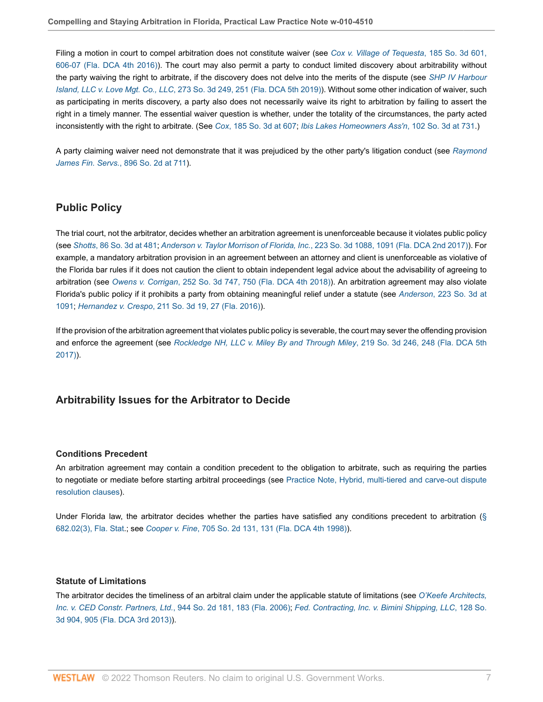Filing a motion in court to compel arbitration does not constitute waiver (see *[Cox v. Village of Tequesta](http://www.westlaw.com/Link/Document/FullText?findType=Y&serNum=2038218279&pubNum=0003926&originatingDoc=Idf2140f19e0d11e79bef99c0ee06c731&refType=RP&fi=co_pp_sp_3926_606&originationContext=document&vr=3.0&rs=cblt1.0&transitionType=PLDocumentLink&billingHash=CAB4B71DD712DE030124B6DB4600F4135B51B3E6109975A390F43C7B7CB310A2&contextData=(sc.Default)#co_pp_sp_3926_606)*, 185 So. 3d 601, [606-07 \(Fla. DCA 4th 2016\)\)](http://www.westlaw.com/Link/Document/FullText?findType=Y&serNum=2038218279&pubNum=0003926&originatingDoc=Idf2140f19e0d11e79bef99c0ee06c731&refType=RP&fi=co_pp_sp_3926_606&originationContext=document&vr=3.0&rs=cblt1.0&transitionType=PLDocumentLink&billingHash=CAB4B71DD712DE030124B6DB4600F4135B51B3E6109975A390F43C7B7CB310A2&contextData=(sc.Default)#co_pp_sp_3926_606). The court may also permit a party to conduct limited discovery about arbitrability without the party waiving the right to arbitrate, if the discovery does not delve into the merits of the dispute (see *[SHP IV Harbour](http://www.westlaw.com/Link/Document/FullText?findType=Y&serNum=2048346320&pubNum=0003926&originatingDoc=Idf2140f19e0d11e79bef99c0ee06c731&refType=RP&fi=co_pp_sp_3926_251&originationContext=document&vr=3.0&rs=cblt1.0&transitionType=PLDocumentLink&billingHash=AFC30B024C66C5DB873DB3D314F6239734624CF6CCECA38DE7070E35FF3E7E4B&contextData=(sc.Default)#co_pp_sp_3926_251) Island, LLC v. Love Mgt. Co., LLC*[, 273 So. 3d 249, 251 \(Fla. DCA 5th 2019\)](http://www.westlaw.com/Link/Document/FullText?findType=Y&serNum=2048346320&pubNum=0003926&originatingDoc=Idf2140f19e0d11e79bef99c0ee06c731&refType=RP&fi=co_pp_sp_3926_251&originationContext=document&vr=3.0&rs=cblt1.0&transitionType=PLDocumentLink&billingHash=AFC30B024C66C5DB873DB3D314F6239734624CF6CCECA38DE7070E35FF3E7E4B&contextData=(sc.Default)#co_pp_sp_3926_251)). Without some other indication of waiver, such as participating in merits discovery, a party also does not necessarily waive its right to arbitration by failing to assert the right in a timely manner. The essential waiver question is whether, under the totality of the circumstances, the party acted inconsistently with the right to arbitrate. (See *Cox*[, 185 So. 3d at 607](http://www.westlaw.com/Link/Document/FullText?findType=Y&serNum=2038218279&pubNum=0003926&originatingDoc=Idf2140f19e0d11e79bef99c0ee06c731&refType=RP&fi=co_pp_sp_3926_607&originationContext=document&vr=3.0&rs=cblt1.0&transitionType=PLDocumentLink&billingHash=CAB4B71DD712DE030124B6DB4600F4135B51B3E6109975A390F43C7B7CB310A2&contextData=(sc.Default)#co_pp_sp_3926_607); *[Ibis Lakes Homeowners Ass'n](http://www.westlaw.com/Link/Document/FullText?findType=Y&serNum=2029409557&pubNum=0003926&originatingDoc=Idf2140f19e0d11e79bef99c0ee06c731&refType=RP&fi=co_pp_sp_3926_731&originationContext=document&vr=3.0&rs=cblt1.0&transitionType=PLDocumentLink&billingHash=51F0CF09ADA7D0EA1B4EA9782AAECC6BA9D94A2968A0C8461745B4815310F22A&contextData=(sc.Default)#co_pp_sp_3926_731)*, 102 So. 3d at 731.)

A party claiming waiver need not demonstrate that it was prejudiced by the other party's litigation conduct (see *[Raymond](http://www.westlaw.com/Link/Document/FullText?findType=Y&serNum=2006265572&pubNum=0000735&originatingDoc=Idf2140f19e0d11e79bef99c0ee06c731&refType=RP&fi=co_pp_sp_735_711&originationContext=document&vr=3.0&rs=cblt1.0&transitionType=PLDocumentLink&billingHash=3E6CDB5611B281CB98E39EA1FAC5190965DCC2571AE5B930ACBDE3D984770F7E&contextData=(sc.Default)#co_pp_sp_735_711) James Fin. Servs.*[, 896 So. 2d at 711](http://www.westlaw.com/Link/Document/FullText?findType=Y&serNum=2006265572&pubNum=0000735&originatingDoc=Idf2140f19e0d11e79bef99c0ee06c731&refType=RP&fi=co_pp_sp_735_711&originationContext=document&vr=3.0&rs=cblt1.0&transitionType=PLDocumentLink&billingHash=3E6CDB5611B281CB98E39EA1FAC5190965DCC2571AE5B930ACBDE3D984770F7E&contextData=(sc.Default)#co_pp_sp_735_711)).

## <span id="page-6-0"></span>**Public Policy**

The trial court, not the arbitrator, decides whether an arbitration agreement is unenforceable because it violates public policy (see *Shotts*[, 86 So. 3d at 481](http://www.westlaw.com/Link/Document/FullText?findType=Y&serNum=2026556139&pubNum=0003926&originatingDoc=Idf2140f19e0d11e79bef99c0ee06c731&refType=RP&fi=co_pp_sp_3926_481&originationContext=document&vr=3.0&rs=cblt1.0&transitionType=PLDocumentLink&billingHash=F346C0CAB412D59883E234B65D8D7A0FCCDE71464585D7FB8F8C97B8B59B0CB6&contextData=(sc.Default)#co_pp_sp_3926_481); *Anderson v. Taylor Morrison of Florida, Inc.*[, 223 So. 3d 1088, 1091 \(Fla. DCA 2nd 2017\)\)](http://www.westlaw.com/Link/Document/FullText?findType=Y&serNum=2041778220&pubNum=0003926&originatingDoc=Idf2140f19e0d11e79bef99c0ee06c731&refType=RP&fi=co_pp_sp_3926_1091&originationContext=document&vr=3.0&rs=cblt1.0&transitionType=PLDocumentLink&billingHash=491201FC9378D4ED520DE6C8E178ABD1831F986D81400920E46592824D3986F0&contextData=(sc.Default)#co_pp_sp_3926_1091). For example, a mandatory arbitration provision in an agreement between an attorney and client is unenforceable as violative of the Florida bar rules if it does not caution the client to obtain independent legal advice about the advisability of agreeing to arbitration (see *Owens v. Corrigan*[, 252 So. 3d 747, 750 \(Fla. DCA 4th 2018\)\)](http://www.westlaw.com/Link/Document/FullText?findType=Y&serNum=2044842682&pubNum=0003926&originatingDoc=Idf2140f19e0d11e79bef99c0ee06c731&refType=RP&fi=co_pp_sp_3926_750&originationContext=document&vr=3.0&rs=cblt1.0&transitionType=PLDocumentLink&billingHash=D8154EBD5579891CC3517062985488C29E388DD3D645DC96F6FC830949F9FCED&contextData=(sc.Default)#co_pp_sp_3926_750). An arbitration agreement may also violate Florida's public policy if it prohibits a party from obtaining meaningful relief under a statute (see *Anderson*[, 223 So. 3d at](http://www.westlaw.com/Link/Document/FullText?findType=Y&serNum=2041778220&pubNum=0003926&originatingDoc=Idf2140f19e0d11e79bef99c0ee06c731&refType=RP&fi=co_pp_sp_3926_1091&originationContext=document&vr=3.0&rs=cblt1.0&transitionType=PLDocumentLink&billingHash=491201FC9378D4ED520DE6C8E178ABD1831F986D81400920E46592824D3986F0&contextData=(sc.Default)#co_pp_sp_3926_1091) [1091](http://www.westlaw.com/Link/Document/FullText?findType=Y&serNum=2041778220&pubNum=0003926&originatingDoc=Idf2140f19e0d11e79bef99c0ee06c731&refType=RP&fi=co_pp_sp_3926_1091&originationContext=document&vr=3.0&rs=cblt1.0&transitionType=PLDocumentLink&billingHash=491201FC9378D4ED520DE6C8E178ABD1831F986D81400920E46592824D3986F0&contextData=(sc.Default)#co_pp_sp_3926_1091); *Hernandez v. Crespo*[, 211 So. 3d 19, 27 \(Fla. 2016\)\)](http://www.westlaw.com/Link/Document/FullText?findType=Y&serNum=2040571029&pubNum=0003926&originatingDoc=Idf2140f19e0d11e79bef99c0ee06c731&refType=RP&fi=co_pp_sp_3926_27&originationContext=document&vr=3.0&rs=cblt1.0&transitionType=PLDocumentLink&billingHash=1CE7C9EE4B5CA75830B195400C88C296AB06D4B3071173388D6EB5240ADA60B1&contextData=(sc.Default)#co_pp_sp_3926_27).

If the provision of the arbitration agreement that violates public policy is severable, the court may sever the offending provision and enforce the agreement (see *[Rockledge NH, LLC v. Miley By and Through Miley](http://www.westlaw.com/Link/Document/FullText?findType=Y&serNum=2041686429&pubNum=0003926&originatingDoc=Idf2140f19e0d11e79bef99c0ee06c731&refType=RP&fi=co_pp_sp_3926_248&originationContext=document&vr=3.0&rs=cblt1.0&transitionType=PLDocumentLink&billingHash=87EAF402039FBB9E52F5F8AAC05E3DA2F6FE2501F335603D521349CDE23C37D4&contextData=(sc.Default)#co_pp_sp_3926_248)*, 219 So. 3d 246, 248 (Fla. DCA 5th [2017\)](http://www.westlaw.com/Link/Document/FullText?findType=Y&serNum=2041686429&pubNum=0003926&originatingDoc=Idf2140f19e0d11e79bef99c0ee06c731&refType=RP&fi=co_pp_sp_3926_248&originationContext=document&vr=3.0&rs=cblt1.0&transitionType=PLDocumentLink&billingHash=87EAF402039FBB9E52F5F8AAC05E3DA2F6FE2501F335603D521349CDE23C37D4&contextData=(sc.Default)#co_pp_sp_3926_248)).

## <span id="page-6-1"></span>**Arbitrability Issues for the Arbitrator to Decide**

#### **Conditions Precedent**

An arbitration agreement may contain a condition precedent to the obligation to arbitrate, such as requiring the parties to negotiate or mediate before starting arbitral proceedings (see [Practice Note, Hybrid, multi-tiered and carve-out dispute](http://www.westlaw.com/Document/I8d7510acef2a11e28578f7ccc38dcbee/View/FullText.html?originationContext=document&vr=3.0&rs=cblt1.0&transitionType=DocumentItem&contextData=(sc.Default)) [resolution clauses](http://www.westlaw.com/Document/I8d7510acef2a11e28578f7ccc38dcbee/View/FullText.html?originationContext=document&vr=3.0&rs=cblt1.0&transitionType=DocumentItem&contextData=(sc.Default))).

Under Florida law, the arbitrator decides whether the parties have satisfied any conditions precedent to arbitration ([§](http://www.westlaw.com/Link/Document/FullText?findType=L&pubNum=1000006&cite=FLSTS682.02&originatingDoc=Idf2140f19e0d11e79bef99c0ee06c731&refType=SP&originationContext=document&vr=3.0&rs=cblt1.0&transitionType=PLDocumentLink&billingHash=C141605F9E887ADD56380E9157983CAAA0D14A58B71E8460A8CF78A4F3B4CCE8&contextData=(sc.Default)#co_pp_d08f0000f5f67) [682.02\(3\), Fla. Stat.](http://www.westlaw.com/Link/Document/FullText?findType=L&pubNum=1000006&cite=FLSTS682.02&originatingDoc=Idf2140f19e0d11e79bef99c0ee06c731&refType=SP&originationContext=document&vr=3.0&rs=cblt1.0&transitionType=PLDocumentLink&billingHash=C141605F9E887ADD56380E9157983CAAA0D14A58B71E8460A8CF78A4F3B4CCE8&contextData=(sc.Default)#co_pp_d08f0000f5f67); see *Cooper v. Fine*[, 705 So. 2d 131, 131 \(Fla. DCA 4th 1998\)](http://www.westlaw.com/Link/Document/FullText?findType=Y&serNum=1998040289&pubNum=0000735&originatingDoc=Idf2140f19e0d11e79bef99c0ee06c731&refType=RP&originationContext=document&vr=3.0&rs=cblt1.0&transitionType=PLDocumentLink&billingHash=0EDC9B3D24577CC7E555CF301005461C9E6CFBE20B4DD0385B6CF0CAC9097DA0&contextData=(sc.Default))).

#### **Statute of Limitations**

The arbitrator decides the timeliness of an arbitral claim under the applicable statute of limitations (see *[O'Keefe Architects,](http://www.westlaw.com/Link/Document/FullText?findType=Y&serNum=2010483957&pubNum=0000735&originatingDoc=Idf2140f19e0d11e79bef99c0ee06c731&refType=RP&fi=co_pp_sp_735_183&originationContext=document&vr=3.0&rs=cblt1.0&transitionType=PLDocumentLink&billingHash=0905EBE02BB97E22B1D9314035D58F5F51060E78498A014C54C9196C55042C39&contextData=(sc.Default)#co_pp_sp_735_183) [Inc. v. CED Constr. Partners, Ltd.](http://www.westlaw.com/Link/Document/FullText?findType=Y&serNum=2010483957&pubNum=0000735&originatingDoc=Idf2140f19e0d11e79bef99c0ee06c731&refType=RP&fi=co_pp_sp_735_183&originationContext=document&vr=3.0&rs=cblt1.0&transitionType=PLDocumentLink&billingHash=0905EBE02BB97E22B1D9314035D58F5F51060E78498A014C54C9196C55042C39&contextData=(sc.Default)#co_pp_sp_735_183)*, 944 So. 2d 181, 183 (Fla. 2006); *[Fed. Contracting, Inc. v. Bimini Shipping, LLC](http://www.westlaw.com/Link/Document/FullText?findType=Y&serNum=2032328358&pubNum=0003926&originatingDoc=Idf2140f19e0d11e79bef99c0ee06c731&refType=RP&fi=co_pp_sp_3926_905&originationContext=document&vr=3.0&rs=cblt1.0&transitionType=PLDocumentLink&billingHash=33935DCD8EB4E552EF181917F0BDE8FF6E2F68552E450452379A028C0185D29D&contextData=(sc.Default)#co_pp_sp_3926_905)*, 128 So. [3d 904, 905 \(Fla. DCA 3rd 2013\)](http://www.westlaw.com/Link/Document/FullText?findType=Y&serNum=2032328358&pubNum=0003926&originatingDoc=Idf2140f19e0d11e79bef99c0ee06c731&refType=RP&fi=co_pp_sp_3926_905&originationContext=document&vr=3.0&rs=cblt1.0&transitionType=PLDocumentLink&billingHash=33935DCD8EB4E552EF181917F0BDE8FF6E2F68552E450452379A028C0185D29D&contextData=(sc.Default)#co_pp_sp_3926_905)).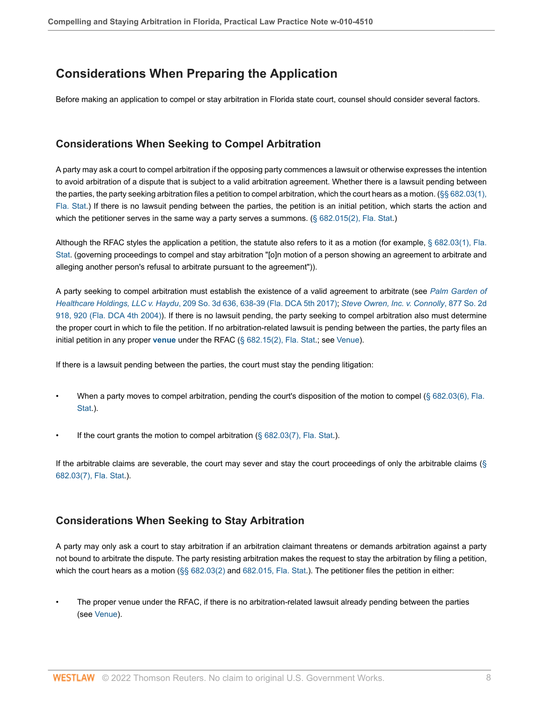# <span id="page-7-0"></span>**Considerations When Preparing the Application**

Before making an application to compel or stay arbitration in Florida state court, counsel should consider several factors.

# <span id="page-7-1"></span>**Considerations When Seeking to Compel Arbitration**

A party may ask a court to compel arbitration if the opposing party commences a lawsuit or otherwise expresses the intention to avoid arbitration of a dispute that is subject to a valid arbitration agreement. Whether there is a lawsuit pending between the parties, the party seeking arbitration files a petition to compel arbitration, which the court hears as a motion. [\(§§ 682.03\(1\),](http://www.westlaw.com/Link/Document/FullText?findType=L&pubNum=1000006&cite=FLSTS682.03&originatingDoc=Idf2140f19e0d11e79bef99c0ee06c731&refType=SP&originationContext=document&vr=3.0&rs=cblt1.0&transitionType=PLDocumentLink&billingHash=67A8F4EF7359CB066B3705B820A9E8F4CE4E95C886255ADA244DD22EF44C8D67&contextData=(sc.Default)#co_pp_f1c50000821b0) [Fla. Stat](http://www.westlaw.com/Link/Document/FullText?findType=L&pubNum=1000006&cite=FLSTS682.03&originatingDoc=Idf2140f19e0d11e79bef99c0ee06c731&refType=SP&originationContext=document&vr=3.0&rs=cblt1.0&transitionType=PLDocumentLink&billingHash=67A8F4EF7359CB066B3705B820A9E8F4CE4E95C886255ADA244DD22EF44C8D67&contextData=(sc.Default)#co_pp_f1c50000821b0).) If there is no lawsuit pending between the parties, the petition is an initial petition, which starts the action and which the petitioner serves in the same way a party serves a summons. ([§ 682.015\(2\), Fla. Stat](http://www.westlaw.com/Link/Document/FullText?findType=L&pubNum=1000006&cite=FLSTS682.015&originatingDoc=Idf2140f19e0d11e79bef99c0ee06c731&refType=SP&originationContext=document&vr=3.0&rs=cblt1.0&transitionType=PLDocumentLink&billingHash=C88056251D692EF9F41B22B4A808F9121D780D00691F4D958645814EAA752BF7&contextData=(sc.Default)#co_pp_58730000872b1).)

Although the RFAC styles the application a petition, the statute also refers to it as a motion (for example, [§ 682.03\(1\), Fla.](http://www.westlaw.com/Link/Document/FullText?findType=L&pubNum=1000006&cite=FLSTS682.03&originatingDoc=Idf2140f19e0d11e79bef99c0ee06c731&refType=SP&originationContext=document&vr=3.0&rs=cblt1.0&transitionType=PLDocumentLink&billingHash=67A8F4EF7359CB066B3705B820A9E8F4CE4E95C886255ADA244DD22EF44C8D67&contextData=(sc.Default)#co_pp_f1c50000821b0) [Stat.](http://www.westlaw.com/Link/Document/FullText?findType=L&pubNum=1000006&cite=FLSTS682.03&originatingDoc=Idf2140f19e0d11e79bef99c0ee06c731&refType=SP&originationContext=document&vr=3.0&rs=cblt1.0&transitionType=PLDocumentLink&billingHash=67A8F4EF7359CB066B3705B820A9E8F4CE4E95C886255ADA244DD22EF44C8D67&contextData=(sc.Default)#co_pp_f1c50000821b0) (governing proceedings to compel and stay arbitration "[o]n motion of a person showing an agreement to arbitrate and alleging another person's refusal to arbitrate pursuant to the agreement")).

A party seeking to compel arbitration must establish the existence of a valid agreement to arbitrate (see *[Palm Garden of](http://www.westlaw.com/Link/Document/FullText?findType=Y&serNum=2040797538&pubNum=0003926&originatingDoc=Idf2140f19e0d11e79bef99c0ee06c731&refType=RP&fi=co_pp_sp_3926_638&originationContext=document&vr=3.0&rs=cblt1.0&transitionType=PLDocumentLink&billingHash=7D06EB7DD9BC2F19DA9DF762E2C02C3E157672A545AF19E6BB8B2BBCAF7B52AE&contextData=(sc.Default)#co_pp_sp_3926_638) Healthcare Holdings, LLC v. Haydu*[, 209 So. 3d 636, 638-39 \(Fla. DCA 5th 2017\)](http://www.westlaw.com/Link/Document/FullText?findType=Y&serNum=2040797538&pubNum=0003926&originatingDoc=Idf2140f19e0d11e79bef99c0ee06c731&refType=RP&fi=co_pp_sp_3926_638&originationContext=document&vr=3.0&rs=cblt1.0&transitionType=PLDocumentLink&billingHash=7D06EB7DD9BC2F19DA9DF762E2C02C3E157672A545AF19E6BB8B2BBCAF7B52AE&contextData=(sc.Default)#co_pp_sp_3926_638); *[Steve Owren, Inc. v. Connolly](http://www.westlaw.com/Link/Document/FullText?findType=Y&serNum=2004734249&pubNum=0000735&originatingDoc=Idf2140f19e0d11e79bef99c0ee06c731&refType=RP&fi=co_pp_sp_735_920&originationContext=document&vr=3.0&rs=cblt1.0&transitionType=PLDocumentLink&billingHash=0CD88B5A06126F1E63B11ED0B9EEBD728F3CD8A61BC7412DAEBE5FD82422968C&contextData=(sc.Default)#co_pp_sp_735_920)*, 877 So. 2d [918, 920 \(Fla. DCA 4th 2004\)\)](http://www.westlaw.com/Link/Document/FullText?findType=Y&serNum=2004734249&pubNum=0000735&originatingDoc=Idf2140f19e0d11e79bef99c0ee06c731&refType=RP&fi=co_pp_sp_735_920&originationContext=document&vr=3.0&rs=cblt1.0&transitionType=PLDocumentLink&billingHash=0CD88B5A06126F1E63B11ED0B9EEBD728F3CD8A61BC7412DAEBE5FD82422968C&contextData=(sc.Default)#co_pp_sp_735_920). If there is no lawsuit pending, the party seeking to compel arbitration also must determine the proper court in which to file the petition. If no arbitration-related lawsuit is pending between the parties, the party files an initial petition in any proper **[venue](http://www.westlaw.com/Document/I0f9fe553ef0811e28578f7ccc38dcbee/View/FullText.html?originationContext=document&vr=3.0&rs=cblt1.0&transitionType=DocumentItem&contextData=(sc.Default))** under the RFAC ([§ 682.15\(2\), Fla. Stat](http://www.westlaw.com/Link/Document/FullText?findType=L&pubNum=1000006&cite=FLSTS682.15&originatingDoc=Idf2140f19e0d11e79bef99c0ee06c731&refType=SP&originationContext=document&vr=3.0&rs=cblt1.0&transitionType=PLDocumentLink&billingHash=7934109E1306C1CF59289912986B24A20EEC48D58BDC109DA90D285C0470E22B&contextData=(sc.Default)#co_pp_58730000872b1).; see [Venue](#page-10-1)).

If there is a lawsuit pending between the parties, the court must stay the pending litigation:

- When a party moves to compel arbitration, pending the court's disposition of the motion to compel ([§ 682.03\(6\), Fla.](http://www.westlaw.com/Link/Document/FullText?findType=L&pubNum=1000006&cite=FLSTS682.03&originatingDoc=Idf2140f19e0d11e79bef99c0ee06c731&refType=SP&originationContext=document&vr=3.0&rs=cblt1.0&transitionType=PLDocumentLink&billingHash=67A8F4EF7359CB066B3705B820A9E8F4CE4E95C886255ADA244DD22EF44C8D67&contextData=(sc.Default)#co_pp_1e9a0000fd6a3) [Stat.](http://www.westlaw.com/Link/Document/FullText?findType=L&pubNum=1000006&cite=FLSTS682.03&originatingDoc=Idf2140f19e0d11e79bef99c0ee06c731&refType=SP&originationContext=document&vr=3.0&rs=cblt1.0&transitionType=PLDocumentLink&billingHash=67A8F4EF7359CB066B3705B820A9E8F4CE4E95C886255ADA244DD22EF44C8D67&contextData=(sc.Default)#co_pp_1e9a0000fd6a3)).
- If the court grants the motion to compel arbitration  $(\S$  682.03(7), Fla. Stat.).

If the arbitrable claims are severable, the court may sever and stay the court proceedings of only the arbitrable claims ( $\S$ [682.03\(7\), Fla. Stat.](http://www.westlaw.com/Link/Document/FullText?findType=L&pubNum=1000006&cite=FLSTS682.03&originatingDoc=Idf2140f19e0d11e79bef99c0ee06c731&refType=SP&originationContext=document&vr=3.0&rs=cblt1.0&transitionType=PLDocumentLink&billingHash=67A8F4EF7359CB066B3705B820A9E8F4CE4E95C886255ADA244DD22EF44C8D67&contextData=(sc.Default)#co_pp_794b00004e3d1)).

# <span id="page-7-2"></span>**Considerations When Seeking to Stay Arbitration**

A party may only ask a court to stay arbitration if an arbitration claimant threatens or demands arbitration against a party not bound to arbitrate the dispute. The party resisting arbitration makes the request to stay the arbitration by filing a petition, which the court hears as a motion ([§§ 682.03\(2\)](http://www.westlaw.com/Link/Document/FullText?findType=L&pubNum=1000006&cite=FLSTS682.03&originatingDoc=Idf2140f19e0d11e79bef99c0ee06c731&refType=SP&originationContext=document&vr=3.0&rs=cblt1.0&transitionType=PLDocumentLink&billingHash=67A8F4EF7359CB066B3705B820A9E8F4CE4E95C886255ADA244DD22EF44C8D67&contextData=(sc.Default)#co_pp_58730000872b1) and [682.015, Fla. Stat.](http://www.westlaw.com/Link/Document/FullText?findType=L&pubNum=1000006&cite=FLSTS682.015&originatingDoc=Idf2140f19e0d11e79bef99c0ee06c731&refType=LQ&originationContext=document&vr=3.0&rs=cblt1.0&transitionType=PLDocumentLink&billingHash=C88056251D692EF9F41B22B4A808F9121D780D00691F4D958645814EAA752BF7&contextData=(sc.Default))). The petitioner files the petition in either:

• The proper venue under the RFAC, if there is no arbitration-related lawsuit already pending between the parties (see [Venue\)](#page-10-1).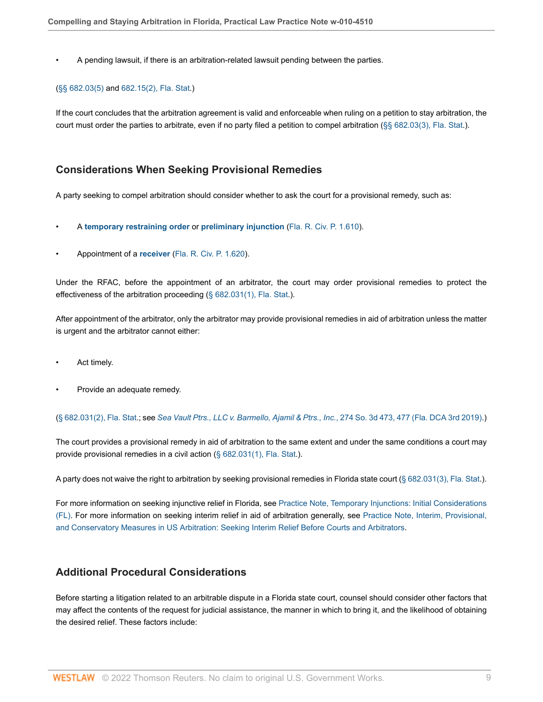• A pending lawsuit, if there is an arbitration-related lawsuit pending between the parties.

#### ([§§ 682.03\(5\)](http://www.westlaw.com/Link/Document/FullText?findType=L&pubNum=1000006&cite=FLSTS682.03&originatingDoc=Idf2140f19e0d11e79bef99c0ee06c731&refType=SP&originationContext=document&vr=3.0&rs=cblt1.0&transitionType=PLDocumentLink&billingHash=67A8F4EF7359CB066B3705B820A9E8F4CE4E95C886255ADA244DD22EF44C8D67&contextData=(sc.Default)#co_pp_362c000048fd7) and [682.15\(2\), Fla. Stat.](http://www.westlaw.com/Link/Document/FullText?findType=L&pubNum=1000006&cite=FLSTS682.15&originatingDoc=Idf2140f19e0d11e79bef99c0ee06c731&refType=SP&originationContext=document&vr=3.0&rs=cblt1.0&transitionType=PLDocumentLink&billingHash=7934109E1306C1CF59289912986B24A20EEC48D58BDC109DA90D285C0470E22B&contextData=(sc.Default)#co_pp_58730000872b1))

If the court concludes that the arbitration agreement is valid and enforceable when ruling on a petition to stay arbitration, the court must order the parties to arbitrate, even if no party filed a petition to compel arbitration [\(§§ 682.03\(3\), Fla. Stat.](http://www.westlaw.com/Link/Document/FullText?findType=L&pubNum=1000006&cite=FLSTS682.03&originatingDoc=Idf2140f19e0d11e79bef99c0ee06c731&refType=SP&originationContext=document&vr=3.0&rs=cblt1.0&transitionType=PLDocumentLink&billingHash=67A8F4EF7359CB066B3705B820A9E8F4CE4E95C886255ADA244DD22EF44C8D67&contextData=(sc.Default)#co_pp_d08f0000f5f67)).

## <span id="page-8-0"></span>**Considerations When Seeking Provisional Remedies**

A party seeking to compel arbitration should consider whether to ask the court for a provisional remedy, such as:

- A **[temporary restraining order](http://www.westlaw.com/Document/I0f9fe53def0811e28578f7ccc38dcbee/View/FullText.html?originationContext=document&vr=3.0&rs=cblt1.0&transitionType=DocumentItem&contextData=(sc.Default))** or **[preliminary injunction](http://www.westlaw.com/Document/I0f9fe53fef0811e28578f7ccc38dcbee/View/FullText.html?originationContext=document&vr=3.0&rs=cblt1.0&transitionType=DocumentItem&contextData=(sc.Default))** [\(Fla. R. Civ. P. 1.610\)](http://www.westlaw.com/Link/Document/FullText?findType=L&pubNum=1005170&cite=FLSTRCPR1.610&originatingDoc=Idf2140f19e0d11e79bef99c0ee06c731&refType=LQ&originationContext=document&vr=3.0&rs=cblt1.0&transitionType=PLDocumentLink&billingHash=3621B242F7C74A76420CC808BDCCAB8038BABAA4E3AA0EA6ECF00E51018E0D53&contextData=(sc.Default)).
- Appointment of a **[receiver](http://www.westlaw.com/Document/Ibd471babba5811e598dc8b09b4f043e0/View/FullText.html?originationContext=document&vr=3.0&rs=cblt1.0&transitionType=DocumentItem&contextData=(sc.Default))** [\(Fla. R. Civ. P. 1.620](http://www.westlaw.com/Link/Document/FullText?findType=L&pubNum=1005170&cite=FLSTRCPR1.620&originatingDoc=Idf2140f19e0d11e79bef99c0ee06c731&refType=LQ&originationContext=document&vr=3.0&rs=cblt1.0&transitionType=PLDocumentLink&billingHash=105EC532FFFAF389F98676838D2CDC95B528C49DEE2C785C301C6AD12400CCB5&contextData=(sc.Default))).

Under the RFAC, before the appointment of an arbitrator, the court may order provisional remedies to protect the effectiveness of the arbitration proceeding  $(\S$  682.031(1), Fla. Stat.).

After appointment of the arbitrator, only the arbitrator may provide provisional remedies in aid of arbitration unless the matter is urgent and the arbitrator cannot either:

- Act timely.
- Provide an adequate remedy.

([§ 682.031\(2\), Fla. Stat.](http://www.westlaw.com/Link/Document/FullText?findType=L&pubNum=1000006&cite=FLSTS682.031&originatingDoc=Idf2140f19e0d11e79bef99c0ee06c731&refType=SP&originationContext=document&vr=3.0&rs=cblt1.0&transitionType=PLDocumentLink&billingHash=993BF534AEBD97DF21A399EA4EFABB85B70BD8DB9EDE4AC5528EEC5515E8EC2A&contextData=(sc.Default)#co_pp_58730000872b1); see *[Sea Vault Ptrs., LLC v. Barmello, Ajamil & Ptrs., Inc.](http://www.westlaw.com/Link/Document/FullText?findType=Y&serNum=2048322309&pubNum=0003926&originatingDoc=Idf2140f19e0d11e79bef99c0ee06c731&refType=RP&fi=co_pp_sp_3926_477&originationContext=document&vr=3.0&rs=cblt1.0&transitionType=PLDocumentLink&billingHash=87D3640A3A63A0BE2D3343286A1DF3B6CC35B2CE8FFC99D876E9415ABCABDEF2&contextData=(sc.Default)#co_pp_sp_3926_477)*, 274 So. 3d 473, 477 (Fla. DCA 3rd 2019).)

The court provides a provisional remedy in aid of arbitration to the same extent and under the same conditions a court may provide provisional remedies in a civil action ([§ 682.031\(1\), Fla. Stat](http://www.westlaw.com/Link/Document/FullText?findType=L&pubNum=1000006&cite=FLSTS682.031&originatingDoc=Idf2140f19e0d11e79bef99c0ee06c731&refType=SP&originationContext=document&vr=3.0&rs=cblt1.0&transitionType=PLDocumentLink&billingHash=993BF534AEBD97DF21A399EA4EFABB85B70BD8DB9EDE4AC5528EEC5515E8EC2A&contextData=(sc.Default)#co_pp_f1c50000821b0).).

A party does not waive the right to arbitration by seeking provisional remedies in Florida state court [\(§ 682.031\(3\), Fla. Stat](http://www.westlaw.com/Link/Document/FullText?findType=L&pubNum=1000006&cite=FLSTS682.031&originatingDoc=Idf2140f19e0d11e79bef99c0ee06c731&refType=SP&originationContext=document&vr=3.0&rs=cblt1.0&transitionType=PLDocumentLink&billingHash=993BF534AEBD97DF21A399EA4EFABB85B70BD8DB9EDE4AC5528EEC5515E8EC2A&contextData=(sc.Default)#co_pp_d08f0000f5f67).).

For more information on seeking injunctive relief in Florida, see [Practice Note, Temporary Injunctions: Initial Considerations](http://www.westlaw.com/Document/I9b430c5bb45111e398db8b09b4f043e0/View/FullText.html?originationContext=document&vr=3.0&rs=cblt1.0&transitionType=DocumentItem&contextData=(sc.Default)) [\(FL\)](http://www.westlaw.com/Document/I9b430c5bb45111e398db8b09b4f043e0/View/FullText.html?originationContext=document&vr=3.0&rs=cblt1.0&transitionType=DocumentItem&contextData=(sc.Default)). For more information on seeking interim relief in aid of arbitration generally, see [Practice Note, Interim, Provisional,](http://www.westlaw.com/Document/Ie8f79e3b703011e498db8b09b4f043e0/View/FullText.html?originationContext=document&vr=3.0&rs=cblt1.0&transitionType=DocumentItem&contextData=(sc.Default)#co_anchor_a197279) [and Conservatory Measures in US Arbitration: Seeking Interim Relief Before Courts and Arbitrators](http://www.westlaw.com/Document/Ie8f79e3b703011e498db8b09b4f043e0/View/FullText.html?originationContext=document&vr=3.0&rs=cblt1.0&transitionType=DocumentItem&contextData=(sc.Default)#co_anchor_a197279).

# <span id="page-8-1"></span>**Additional Procedural Considerations**

Before starting a litigation related to an arbitrable dispute in a Florida state court, counsel should consider other factors that may affect the contents of the request for judicial assistance, the manner in which to bring it, and the likelihood of obtaining the desired relief. These factors include: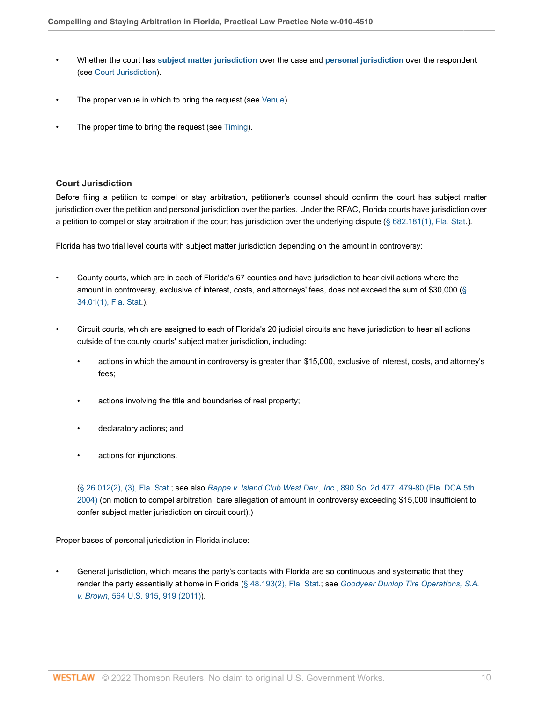- Whether the court has **[subject matter jurisdiction](http://www.westlaw.com/Document/Ibb0a3a27ef0511e28578f7ccc38dcbee/View/FullText.html?originationContext=document&vr=3.0&rs=cblt1.0&transitionType=DocumentItem&contextData=(sc.Default))** over the case and **[personal jurisdiction](http://www.westlaw.com/Document/I03f4d946eee311e28578f7ccc38dcbee/View/FullText.html?originationContext=document&vr=3.0&rs=cblt1.0&transitionType=DocumentItem&contextData=(sc.Default))** over the respondent (see [Court Jurisdiction](#page-9-0)).
- The proper venue in which to bring the request (see [Venue\)](#page-10-1).
- The proper time to bring the request (see [Timing\)](#page-10-2).

## <span id="page-9-0"></span>**Court Jurisdiction**

Before filing a petition to compel or stay arbitration, petitioner's counsel should confirm the court has subject matter jurisdiction over the petition and personal jurisdiction over the parties. Under the RFAC, Florida courts have jurisdiction over a petition to compel or stay arbitration if the court has jurisdiction over the underlying dispute  $(\S$  682.181(1), Fla. Stat.).

Florida has two trial level courts with subject matter jurisdiction depending on the amount in controversy:

- County courts, which are in each of Florida's 67 counties and have jurisdiction to hear civil actions where the amount in controversy, exclusive of interest, costs, and attorneys' fees, does not exceed the sum of \$30,000 [\(§](http://www.westlaw.com/Link/Document/FullText?findType=L&pubNum=1000006&cite=FLSTS34.01&originatingDoc=Idf2140f19e0d11e79bef99c0ee06c731&refType=SP&originationContext=document&vr=3.0&rs=cblt1.0&transitionType=PLDocumentLink&billingHash=AE0421AFC922862DF1FA9AC545168EDB6C37AB8AC38C0BF4C73DEB9FD0983929&contextData=(sc.Default)#co_pp_f1c50000821b0) [34.01\(1\), Fla. Stat.](http://www.westlaw.com/Link/Document/FullText?findType=L&pubNum=1000006&cite=FLSTS34.01&originatingDoc=Idf2140f19e0d11e79bef99c0ee06c731&refType=SP&originationContext=document&vr=3.0&rs=cblt1.0&transitionType=PLDocumentLink&billingHash=AE0421AFC922862DF1FA9AC545168EDB6C37AB8AC38C0BF4C73DEB9FD0983929&contextData=(sc.Default)#co_pp_f1c50000821b0)).
- Circuit courts, which are assigned to each of Florida's 20 judicial circuits and have jurisdiction to hear all actions outside of the county courts' subject matter jurisdiction, including:
	- actions in which the amount in controversy is greater than \$15,000, exclusive of interest, costs, and attorney's fees;
	- actions involving the title and boundaries of real property;
	- declaratory actions; and
	- actions for injunctions.

([§ 26.012\(2\)](http://www.westlaw.com/Link/Document/FullText?findType=L&pubNum=1000006&cite=FLSTS26.012&originatingDoc=Idf2140f19e0d11e79bef99c0ee06c731&refType=SP&originationContext=document&vr=3.0&rs=cblt1.0&transitionType=PLDocumentLink&billingHash=16792785D2A780F93428F0214F9D120FE33926BB09AE6601DD857E1F8A1ED6E7&contextData=(sc.Default)#co_pp_58730000872b1), [\(3\), Fla. Stat](http://www.westlaw.com/Link/Document/FullText?findType=L&pubNum=1000006&cite=FLSTS26.012&originatingDoc=Idf2140f19e0d11e79bef99c0ee06c731&refType=SP&originationContext=document&vr=3.0&rs=cblt1.0&transitionType=PLDocumentLink&billingHash=16792785D2A780F93428F0214F9D120FE33926BB09AE6601DD857E1F8A1ED6E7&contextData=(sc.Default)#co_pp_d08f0000f5f67).; see also *Rappa v. Island Club West Dev., Inc.*[, 890 So. 2d 477, 479-80 \(Fla. DCA 5th](http://www.westlaw.com/Link/Document/FullText?findType=Y&serNum=2005863579&pubNum=0000735&originatingDoc=Idf2140f19e0d11e79bef99c0ee06c731&refType=RP&fi=co_pp_sp_735_479&originationContext=document&vr=3.0&rs=cblt1.0&transitionType=PLDocumentLink&billingHash=19FC0CC3C1DEE250FFE881CD10BB488133378388F48469E267AC31F4E3568BD5&contextData=(sc.Default)#co_pp_sp_735_479) [2004\)](http://www.westlaw.com/Link/Document/FullText?findType=Y&serNum=2005863579&pubNum=0000735&originatingDoc=Idf2140f19e0d11e79bef99c0ee06c731&refType=RP&fi=co_pp_sp_735_479&originationContext=document&vr=3.0&rs=cblt1.0&transitionType=PLDocumentLink&billingHash=19FC0CC3C1DEE250FFE881CD10BB488133378388F48469E267AC31F4E3568BD5&contextData=(sc.Default)#co_pp_sp_735_479) (on motion to compel arbitration, bare allegation of amount in controversy exceeding \$15,000 insufficient to confer subject matter jurisdiction on circuit court).)

Proper bases of personal jurisdiction in Florida include:

• General jurisdiction, which means the party's contacts with Florida are so continuous and systematic that they render the party essentially at home in Florida ([§ 48.193\(2\), Fla. Stat](http://www.westlaw.com/Link/Document/FullText?findType=L&pubNum=1000006&cite=FLSTS48.193&originatingDoc=Idf2140f19e0d11e79bef99c0ee06c731&refType=SP&originationContext=document&vr=3.0&rs=cblt1.0&transitionType=PLDocumentLink&billingHash=A54EAB5CF27577361EB7B3F3D98332E42BA9E0B70D196E2A36098017F5CA7420&contextData=(sc.Default)#co_pp_58730000872b1).; see *[Goodyear Dunlop Tire Operations, S.A.](http://www.westlaw.com/Link/Document/FullText?findType=Y&serNum=2025554476&pubNum=0000780&originatingDoc=Idf2140f19e0d11e79bef99c0ee06c731&refType=RP&fi=co_pp_sp_780_919&originationContext=document&vr=3.0&rs=cblt1.0&transitionType=PLDocumentLink&billingHash=F10E074A80C023D463930F52377A47DC3DF66A430DFBF77693159D2685541796&contextData=(sc.Default)#co_pp_sp_780_919) v. Brown*[, 564 U.S. 915, 919 \(2011\)\)](http://www.westlaw.com/Link/Document/FullText?findType=Y&serNum=2025554476&pubNum=0000780&originatingDoc=Idf2140f19e0d11e79bef99c0ee06c731&refType=RP&fi=co_pp_sp_780_919&originationContext=document&vr=3.0&rs=cblt1.0&transitionType=PLDocumentLink&billingHash=F10E074A80C023D463930F52377A47DC3DF66A430DFBF77693159D2685541796&contextData=(sc.Default)#co_pp_sp_780_919).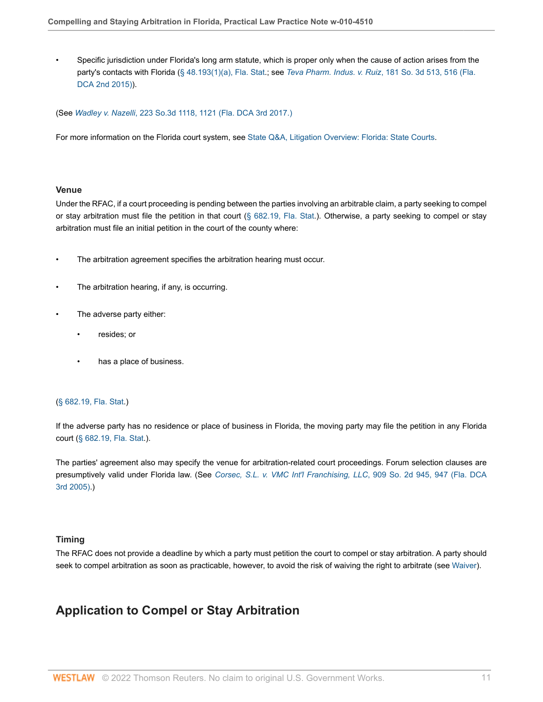• Specific jurisdiction under Florida's long arm statute, which is proper only when the cause of action arises from the party's contacts with Florida [\(§ 48.193\(1\)\(a\), Fla. Stat.](http://www.westlaw.com/Link/Document/FullText?findType=L&pubNum=1000006&cite=FLSTS48.193&originatingDoc=Idf2140f19e0d11e79bef99c0ee06c731&refType=SP&originationContext=document&vr=3.0&rs=cblt1.0&transitionType=PLDocumentLink&billingHash=A54EAB5CF27577361EB7B3F3D98332E42BA9E0B70D196E2A36098017F5CA7420&contextData=(sc.Default)#co_pp_9f800000f2221); see *Teva Pharm. Indus. v. Ruiz*[, 181 So. 3d 513, 516 \(Fla.](http://www.westlaw.com/Link/Document/FullText?findType=Y&serNum=2037401989&pubNum=0003926&originatingDoc=Idf2140f19e0d11e79bef99c0ee06c731&refType=RP&fi=co_pp_sp_3926_516&originationContext=document&vr=3.0&rs=cblt1.0&transitionType=PLDocumentLink&billingHash=D16CDCF1CE6F5E781608A7A76A2CF51CC7F258B318FE5F8CE8FAF4F9633FF803&contextData=(sc.Default)#co_pp_sp_3926_516) [DCA 2nd 2015\)](http://www.westlaw.com/Link/Document/FullText?findType=Y&serNum=2037401989&pubNum=0003926&originatingDoc=Idf2140f19e0d11e79bef99c0ee06c731&refType=RP&fi=co_pp_sp_3926_516&originationContext=document&vr=3.0&rs=cblt1.0&transitionType=PLDocumentLink&billingHash=D16CDCF1CE6F5E781608A7A76A2CF51CC7F258B318FE5F8CE8FAF4F9633FF803&contextData=(sc.Default)#co_pp_sp_3926_516)).

(See *Wadley v. Nazelli*[, 223 So.3d 1118, 1121 \(Fla. DCA 3rd 2017.\)](http://www.westlaw.com/Link/Document/FullText?findType=Y&serNum=2041999975&pubNum=0003926&originatingDoc=Idf2140f19e0d11e79bef99c0ee06c731&refType=RP&fi=co_pp_sp_3926_1121&originationContext=document&vr=3.0&rs=cblt1.0&transitionType=PLDocumentLink&billingHash=0821F20AB7543D3F97C9584C24370E5D89CADCAA7327F48014B2A55F52A4EFA1&contextData=(sc.Default)#co_pp_sp_3926_1121)

For more information on the Florida court system, see [State Q&A, Litigation Overview: Florida: State Courts](http://www.westlaw.com/Document/Ic5bbd3ab566e11e598dc8b09b4f043e0/View/FullText.html?originationContext=document&vr=3.0&rs=cblt1.0&transitionType=DocumentItem&contextData=(sc.Default)#co_anchor_a000001).

#### <span id="page-10-1"></span>**Venue**

Under the RFAC, if a court proceeding is pending between the parties involving an arbitrable claim, a party seeking to compel or stay arbitration must file the petition in that court [\(§ 682.19, Fla. Stat](http://www.westlaw.com/Link/Document/FullText?findType=L&pubNum=1000006&cite=FLSTS682.19&originatingDoc=Idf2140f19e0d11e79bef99c0ee06c731&refType=LQ&originationContext=document&vr=3.0&rs=cblt1.0&transitionType=PLDocumentLink&billingHash=F11008E5C44D6B4B754A0DDF9D8E41AF2B44C555BBE8DD8D9A6C29F1417F643B&contextData=(sc.Default)).). Otherwise, a party seeking to compel or stay arbitration must file an initial petition in the court of the county where:

- The arbitration agreement specifies the arbitration hearing must occur.
- The arbitration hearing, if any, is occurring.
- The adverse party either:
	- resides; or
	- has a place of business.

#### ([§ 682.19, Fla. Stat](http://www.westlaw.com/Link/Document/FullText?findType=L&pubNum=1000006&cite=FLSTS682.19&originatingDoc=Idf2140f19e0d11e79bef99c0ee06c731&refType=LQ&originationContext=document&vr=3.0&rs=cblt1.0&transitionType=PLDocumentLink&billingHash=F11008E5C44D6B4B754A0DDF9D8E41AF2B44C555BBE8DD8D9A6C29F1417F643B&contextData=(sc.Default)).)

If the adverse party has no residence or place of business in Florida, the moving party may file the petition in any Florida court [\(§ 682.19, Fla. Stat.](http://www.westlaw.com/Link/Document/FullText?findType=L&pubNum=1000006&cite=FLSTS682.19&originatingDoc=Idf2140f19e0d11e79bef99c0ee06c731&refType=LQ&originationContext=document&vr=3.0&rs=cblt1.0&transitionType=PLDocumentLink&billingHash=F11008E5C44D6B4B754A0DDF9D8E41AF2B44C555BBE8DD8D9A6C29F1417F643B&contextData=(sc.Default))).

The parties' agreement also may specify the venue for arbitration-related court proceedings. Forum selection clauses are presumptively valid under Florida law. (See *[Corsec, S.L. v. VMC Int'l Franchising, LLC](http://www.westlaw.com/Link/Document/FullText?findType=Y&serNum=2007143271&pubNum=0000735&originatingDoc=Idf2140f19e0d11e79bef99c0ee06c731&refType=RP&fi=co_pp_sp_735_947&originationContext=document&vr=3.0&rs=cblt1.0&transitionType=PLDocumentLink&billingHash=C39473BB9B832C1C8BD761F576E83768074B1550A0D6CEA6D721BB1F879FB5EA&contextData=(sc.Default)#co_pp_sp_735_947)*, 909 So. 2d 945, 947 (Fla. DCA [3rd 2005\).](http://www.westlaw.com/Link/Document/FullText?findType=Y&serNum=2007143271&pubNum=0000735&originatingDoc=Idf2140f19e0d11e79bef99c0ee06c731&refType=RP&fi=co_pp_sp_735_947&originationContext=document&vr=3.0&rs=cblt1.0&transitionType=PLDocumentLink&billingHash=C39473BB9B832C1C8BD761F576E83768074B1550A0D6CEA6D721BB1F879FB5EA&contextData=(sc.Default)#co_pp_sp_735_947))

#### <span id="page-10-2"></span>**Timing**

The RFAC does not provide a deadline by which a party must petition the court to compel or stay arbitration. A party should seek to compel arbitration as soon as practicable, however, to avoid the risk of waiving the right to arbitrate (see [Waiver\)](#page-5-1).

# <span id="page-10-0"></span>**Application to Compel or Stay Arbitration**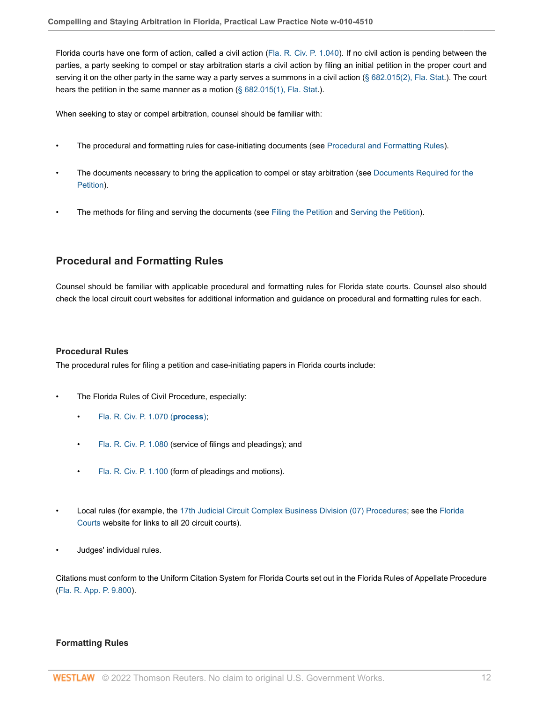Florida courts have one form of action, called a civil action ([Fla. R. Civ. P. 1.040](http://www.westlaw.com/Link/Document/FullText?findType=L&pubNum=1005170&cite=FLSTRCPR1.040&originatingDoc=Idf2140f19e0d11e79bef99c0ee06c731&refType=LQ&originationContext=document&vr=3.0&rs=cblt1.0&transitionType=PLDocumentLink&billingHash=1646EF08B54325F5B0C0AD75CCEF5A7345C8EA6C7090685898F6FBEF9D8590EB&contextData=(sc.Default))). If no civil action is pending between the parties, a party seeking to compel or stay arbitration starts a civil action by filing an initial petition in the proper court and serving it on the other party in the same way a party serves a summons in a civil action ( $\S$  682.015(2), Fla. Stat.). The court hears the petition in the same manner as a motion [\(§ 682.015\(1\), Fla. Stat.](http://www.westlaw.com/Link/Document/FullText?findType=L&pubNum=1000006&cite=FLSTS682.015&originatingDoc=Idf2140f19e0d11e79bef99c0ee06c731&refType=SP&originationContext=document&vr=3.0&rs=cblt1.0&transitionType=PLDocumentLink&billingHash=C88056251D692EF9F41B22B4A808F9121D780D00691F4D958645814EAA752BF7&contextData=(sc.Default)#co_pp_f1c50000821b0)).

When seeking to stay or compel arbitration, counsel should be familiar with:

- The procedural and formatting rules for case-initiating documents (see [Procedural and Formatting Rules\)](#page-11-0).
- The documents necessary to bring the application to compel or stay arbitration (see [Documents Required for the](#page-12-0) [Petition\)](#page-12-0).
- The methods for filing and serving the documents (see [Filing the Petition](#page-13-0) and [Serving the Petition](#page-14-0)).

# <span id="page-11-0"></span>**Procedural and Formatting Rules**

Counsel should be familiar with applicable procedural and formatting rules for Florida state courts. Counsel also should check the local circuit court websites for additional information and guidance on procedural and formatting rules for each.

### **Procedural Rules**

The procedural rules for filing a petition and case-initiating papers in Florida courts include:

- The Florida Rules of Civil Procedure, especially:
	- [Fla. R. Civ. P. 1.070 \(](http://www.westlaw.com/Link/Document/FullText?findType=L&pubNum=1005170&cite=FLSTRCPR1.070&originatingDoc=Idf2140f19e0d11e79bef99c0ee06c731&refType=LQ&originationContext=document&vr=3.0&rs=cblt1.0&transitionType=PLDocumentLink&billingHash=AB43259431707AAB6B08B87F27D11D661AF25E0278C2D2CEFB101E3D0C66A1D1&contextData=(sc.Default))**process**);
	- [Fla. R. Civ. P. 1.080](http://www.westlaw.com/Link/Document/FullText?findType=L&pubNum=1005170&cite=FLSTRCPR1.080&originatingDoc=Idf2140f19e0d11e79bef99c0ee06c731&refType=LQ&originationContext=document&vr=3.0&rs=cblt1.0&transitionType=PLDocumentLink&billingHash=4F3F283EFA6444342FA85926CE60B8FE5634720CF1C0F0666076889CEC167818&contextData=(sc.Default)) (service of filings and pleadings); and
	- [Fla. R. Civ. P. 1.100](http://www.westlaw.com/Link/Document/FullText?findType=L&pubNum=1005170&cite=FLSTRCPR1.100&originatingDoc=Idf2140f19e0d11e79bef99c0ee06c731&refType=LQ&originationContext=document&vr=3.0&rs=cblt1.0&transitionType=PLDocumentLink&billingHash=94FCB11D70BB9CC840584121BC2D53D17F95EFB5CDB0BCAD6386837CE0F44DB2&contextData=(sc.Default)) (form of pleadings and motions).
- Local rules (for example, the [17th Judicial Circuit Complex Business Division \(07\) Procedures;](http://www.17th.flcourts.org/index.php/judges/circuit-civil/complex-litigation-unit/division-07) see the [Florida](http://www.flcourts.org/florida-courts/trial-courts-circuit.stml) [Courts](http://www.flcourts.org/florida-courts/trial-courts-circuit.stml) website for links to all 20 circuit courts).
- Judges' individual rules.

Citations must conform to the Uniform Citation System for Florida Courts set out in the Florida Rules of Appellate Procedure ([Fla. R. App. P. 9.800](http://www.westlaw.com/Link/Document/FullText?findType=L&pubNum=1005181&cite=FLSTRAPR9.800&originatingDoc=Idf2140f19e0d11e79bef99c0ee06c731&refType=LQ&originationContext=document&vr=3.0&rs=cblt1.0&transitionType=PLDocumentLink&billingHash=DAEC7791FD9E950C4F87BF74E69FC22C3FAD176E2DA1691C44EB08ADD27C7F82&contextData=(sc.Default))).

## **Formatting Rules**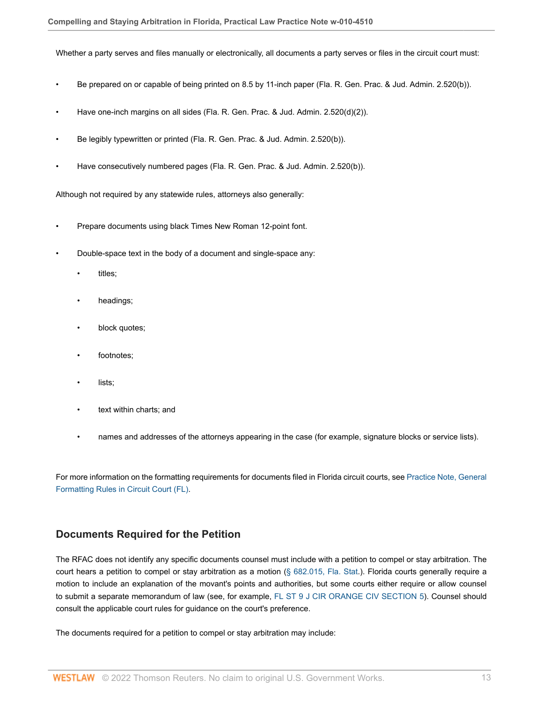Whether a party serves and files manually or electronically, all documents a party serves or files in the circuit court must:

- Be prepared on or capable of being printed on 8.5 by 11-inch paper (Fla. R. Gen. Prac. & Jud. Admin. 2.520(b)).
- Have one-inch margins on all sides (Fla. R. Gen. Prac. & Jud. Admin. 2.520(d)(2)).
- Be legibly typewritten or printed (Fla. R. Gen. Prac. & Jud. Admin. 2.520(b)).
- Have consecutively numbered pages (Fla. R. Gen. Prac. & Jud. Admin. 2.520(b)).

Although not required by any statewide rules, attorneys also generally:

- Prepare documents using black Times New Roman 12-point font.
- Double-space text in the body of a document and single-space any:
	- titles;
	- headings;
	- block quotes;
	- footnotes;
	- lists;
	- text within charts; and
	- names and addresses of the attorneys appearing in the case (for example, signature blocks or service lists).

For more information on the formatting requirements for documents filed in Florida circuit courts, see [Practice Note, General](http://www.westlaw.com/Document/I94e68d3273e111e38578f7ccc38dcbee/View/FullText.html?originationContext=document&vr=3.0&rs=cblt1.0&transitionType=DocumentItem&contextData=(sc.Default)) [Formatting Rules in Circuit Court \(FL\)](http://www.westlaw.com/Document/I94e68d3273e111e38578f7ccc38dcbee/View/FullText.html?originationContext=document&vr=3.0&rs=cblt1.0&transitionType=DocumentItem&contextData=(sc.Default)).

## <span id="page-12-0"></span>**Documents Required for the Petition**

The RFAC does not identify any specific documents counsel must include with a petition to compel or stay arbitration. The court hears a petition to compel or stay arbitration as a motion [\(§ 682.015, Fla. Stat.](http://www.westlaw.com/Link/Document/FullText?findType=L&pubNum=1000006&cite=FLSTS682.015&originatingDoc=Idf2140f19e0d11e79bef99c0ee06c731&refType=LQ&originationContext=document&vr=3.0&rs=cblt1.0&transitionType=PLDocumentLink&billingHash=C88056251D692EF9F41B22B4A808F9121D780D00691F4D958645814EAA752BF7&contextData=(sc.Default))). Florida courts generally require a motion to include an explanation of the movant's points and authorities, but some courts either require or allow counsel to submit a separate memorandum of law (see, for example, [FL ST 9 J CIR ORANGE CIV SECTION 5](http://www.westlaw.com/Link/Document/FullText?findType=L&pubNum=1077509&cite=FLST9JCRORCVS5&originatingDoc=Idf2140f19e0d11e79bef99c0ee06c731&refType=GA&originationContext=document&vr=3.0&rs=cblt1.0&transitionType=PLDocumentLink&billingHash=35313D5864175522D90CE00BE08980EA7086ED70A322EECDF8340970111F595D&contextData=(sc.Default))). Counsel should consult the applicable court rules for guidance on the court's preference.

The documents required for a petition to compel or stay arbitration may include: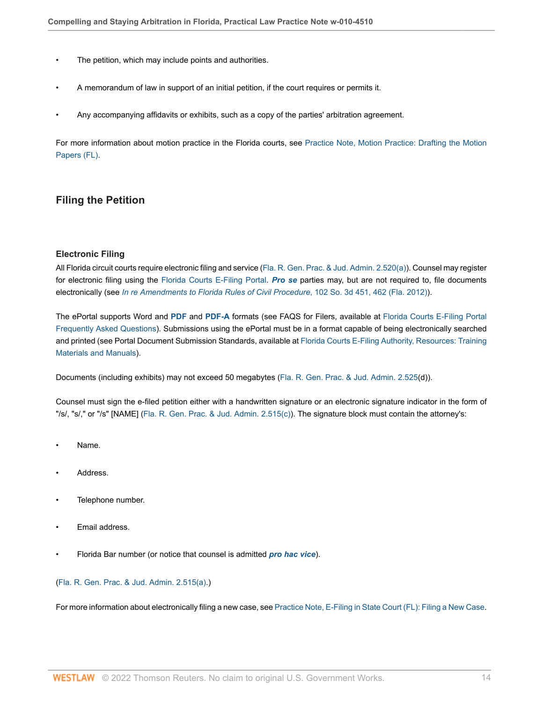- The petition, which may include points and authorities.
- A memorandum of law in support of an initial petition, if the court requires or permits it.
- Any accompanying affidavits or exhibits, such as a copy of the parties' arbitration agreement.

For more information about motion practice in the Florida courts, see [Practice Note, Motion Practice: Drafting the Motion](http://www.westlaw.com/Document/I1ebe105deb5711e398db8b09b4f043e0/View/FullText.html?originationContext=document&vr=3.0&rs=cblt1.0&transitionType=DocumentItem&contextData=(sc.Default)) [Papers \(FL\)](http://www.westlaw.com/Document/I1ebe105deb5711e398db8b09b4f043e0/View/FullText.html?originationContext=document&vr=3.0&rs=cblt1.0&transitionType=DocumentItem&contextData=(sc.Default)).

# <span id="page-13-0"></span>**Filing the Petition**

#### **Electronic Filing**

All Florida circuit courts require electronic filing and service [\(Fla. R. Gen. Prac. & Jud. Admin. 2.520\(a\)](http://www.westlaw.com/Link/Document/FullText?findType=L&pubNum=1103504&cite=FLSTGPAJAR2.520&originatingDoc=Idf2140f19e0d11e79bef99c0ee06c731&refType=GA&originationContext=document&vr=3.0&rs=cblt1.0&transitionType=PLDocumentLink&billingHash=576DD03F1CD25654ACD5B235204B60CED8F66BB591DD03CAAF2C57B4F7F633FC&contextData=(sc.Default))). Counsel may register for electronic filing using the [Florida Courts E-Filing Portal.](https://www.myflcourtaccess.com/ ) *[Pro se](http://www.westlaw.com/Document/I0f9fc050ef0811e28578f7ccc38dcbee/View/FullText.html?originationContext=document&vr=3.0&rs=cblt1.0&transitionType=DocumentItem&contextData=(sc.Default))* parties may, but are not required to, file documents electronically (see *[In re Amendments to Florida Rules of Civil Procedure](http://www.westlaw.com/Link/Document/FullText?findType=Y&serNum=2028901559&pubNum=0003926&originatingDoc=Idf2140f19e0d11e79bef99c0ee06c731&refType=RP&fi=co_pp_sp_3926_462&originationContext=document&vr=3.0&rs=cblt1.0&transitionType=PLDocumentLink&billingHash=8BBA882DD6E9EB1C35C3B066787F176F223B34591F7EEB76CF582E79E30F3755&contextData=(sc.Default)#co_pp_sp_3926_462)*, 102 So. 3d 451, 462 (Fla. 2012)).

The ePortal supports Word and **[PDF](http://www.westlaw.com/Document/I0f9fc073ef0811e28578f7ccc38dcbee/View/FullText.html?originationContext=document&vr=3.0&rs=cblt1.0&transitionType=DocumentItem&contextData=(sc.Default))** and **[PDF-A](http://www.westlaw.com/Document/I0f9fc03def0811e28578f7ccc38dcbee/View/FullText.html?originationContext=document&vr=3.0&rs=cblt1.0&transitionType=DocumentItem&contextData=(sc.Default))** formats (see FAQS for Filers, available at [Florida Courts E-Filing Portal](https://www.myflcourtaccess.com/authority/faqs.html ) [Frequently Asked Questions](https://www.myflcourtaccess.com/authority/faqs.html )). Submissions using the ePortal must be in a format capable of being electronically searched and printed (see Portal Document Submission Standards, available at [Florida Courts E-Filing Authority, Resources: Training](https://www.myflcourtaccess.com/authority/training-materials ) [Materials and Manuals\)](https://www.myflcourtaccess.com/authority/training-materials ).

Documents (including exhibits) may not exceed 50 megabytes ([Fla. R. Gen. Prac. & Jud. Admin. 2.525](http://www.westlaw.com/Link/Document/FullText?findType=L&pubNum=1103504&cite=FLSTGPAJAR2.525&originatingDoc=Idf2140f19e0d11e79bef99c0ee06c731&refType=GA&originationContext=document&vr=3.0&rs=cblt1.0&transitionType=PLDocumentLink&billingHash=B0470C23820E09B47DB8353192ADF4C8FC6BB8841EC629C9A7A523E9F11F9327&contextData=(sc.Default))(d)).

Counsel must sign the e-filed petition either with a handwritten signature or an electronic signature indicator in the form of "/s/, "s/," or "/s" [NAME] ([Fla. R. Gen. Prac. & Jud. Admin. 2.515\(c\)\)](http://www.westlaw.com/Link/Document/FullText?findType=L&pubNum=1103504&cite=FLSTGPAJAR2.515&originatingDoc=Idf2140f19e0d11e79bef99c0ee06c731&refType=GA&originationContext=document&vr=3.0&rs=cblt1.0&transitionType=PLDocumentLink&billingHash=67D32CA2E30A87D6926CE73C1613E004AF2989285EB6FD29878040BA4D641A4F&contextData=(sc.Default)). The signature block must contain the attorney's:

- Name.
- Address.
- Telephone number.
- Email address.
- Florida Bar number (or notice that counsel is admitted *[pro hac vice](http://www.westlaw.com/Document/I0f9fc0bdef0811e28578f7ccc38dcbee/View/FullText.html?originationContext=document&vr=3.0&rs=cblt1.0&transitionType=DocumentItem&contextData=(sc.Default))*).

#### ([Fla. R. Gen. Prac. & Jud. Admin. 2.515\(a\)](http://www.westlaw.com/Link/Document/FullText?findType=L&pubNum=1103504&cite=FLSTGPAJAR2.515&originatingDoc=Idf2140f19e0d11e79bef99c0ee06c731&refType=GA&originationContext=document&vr=3.0&rs=cblt1.0&transitionType=PLDocumentLink&billingHash=67D32CA2E30A87D6926CE73C1613E004AF2989285EB6FD29878040BA4D641A4F&contextData=(sc.Default)).)

For more information about electronically filing a new case, see [Practice Note, E-Filing in State Court \(FL\): Filing a New Case.](http://www.westlaw.com/Document/I94e68d3173e111e38578f7ccc38dcbee/View/FullText.html?originationContext=document&vr=3.0&rs=cblt1.0&transitionType=DocumentItem&contextData=(sc.Default)#co_anchor_a000024)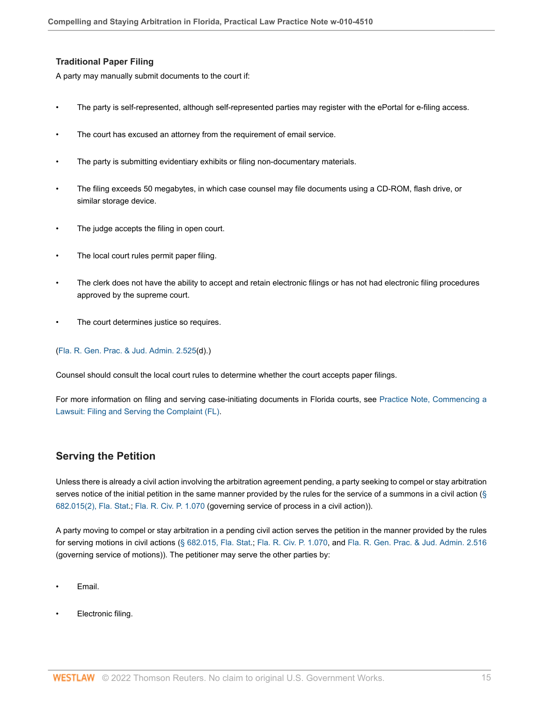## **Traditional Paper Filing**

A party may manually submit documents to the court if:

- The party is self-represented, although self-represented parties may register with the ePortal for e-filing access.
- The court has excused an attorney from the requirement of email service.
- The party is submitting evidentiary exhibits or filing non-documentary materials.
- The filing exceeds 50 megabytes, in which case counsel may file documents using a CD-ROM, flash drive, or similar storage device.
- The judge accepts the filing in open court.
- The local court rules permit paper filing.
- The clerk does not have the ability to accept and retain electronic filings or has not had electronic filing procedures approved by the supreme court.
- The court determines justice so requires.

#### ([Fla. R. Gen. Prac. & Jud. Admin. 2.525](http://www.westlaw.com/Link/Document/FullText?findType=L&pubNum=1103504&cite=FLSTGPAJAR2.525&originatingDoc=Idf2140f19e0d11e79bef99c0ee06c731&refType=GA&originationContext=document&vr=3.0&rs=cblt1.0&transitionType=PLDocumentLink&billingHash=B0470C23820E09B47DB8353192ADF4C8FC6BB8841EC629C9A7A523E9F11F9327&contextData=(sc.Default))(d).)

Counsel should consult the local court rules to determine whether the court accepts paper filings.

For more information on filing and serving case-initiating documents in Florida courts, see [Practice Note, Commencing a](http://www.westlaw.com/Document/I24369f7f844b11e38578f7ccc38dcbee/View/FullText.html?originationContext=document&vr=3.0&rs=cblt1.0&transitionType=DocumentItem&contextData=(sc.Default)) [Lawsuit: Filing and Serving the Complaint \(FL\)](http://www.westlaw.com/Document/I24369f7f844b11e38578f7ccc38dcbee/View/FullText.html?originationContext=document&vr=3.0&rs=cblt1.0&transitionType=DocumentItem&contextData=(sc.Default)).

# <span id="page-14-0"></span>**Serving the Petition**

Unless there is already a civil action involving the arbitration agreement pending, a party seeking to compel or stay arbitration serves notice of the initial petition in the same manner provided by the rules for the service of a summons in a civil action [\(§](http://www.westlaw.com/Link/Document/FullText?findType=L&pubNum=1000006&cite=FLSTS682.015&originatingDoc=Idf2140f19e0d11e79bef99c0ee06c731&refType=SP&originationContext=document&vr=3.0&rs=cblt1.0&transitionType=PLDocumentLink&billingHash=C88056251D692EF9F41B22B4A808F9121D780D00691F4D958645814EAA752BF7&contextData=(sc.Default)#co_pp_58730000872b1) [682.015\(2\), Fla. Stat.](http://www.westlaw.com/Link/Document/FullText?findType=L&pubNum=1000006&cite=FLSTS682.015&originatingDoc=Idf2140f19e0d11e79bef99c0ee06c731&refType=SP&originationContext=document&vr=3.0&rs=cblt1.0&transitionType=PLDocumentLink&billingHash=C88056251D692EF9F41B22B4A808F9121D780D00691F4D958645814EAA752BF7&contextData=(sc.Default)#co_pp_58730000872b1); [Fla. R. Civ. P. 1.070](http://www.westlaw.com/Link/Document/FullText?findType=L&pubNum=1005170&cite=FLSTRCPR1.070&originatingDoc=Idf2140f19e0d11e79bef99c0ee06c731&refType=LQ&originationContext=document&vr=3.0&rs=cblt1.0&transitionType=PLDocumentLink&billingHash=AB43259431707AAB6B08B87F27D11D661AF25E0278C2D2CEFB101E3D0C66A1D1&contextData=(sc.Default)) (governing service of process in a civil action)).

A party moving to compel or stay arbitration in a pending civil action serves the petition in the manner provided by the rules for serving motions in civil actions ([§ 682.015, Fla. Stat.](http://www.westlaw.com/Link/Document/FullText?findType=L&pubNum=1000006&cite=FLSTS682.015&originatingDoc=Idf2140f19e0d11e79bef99c0ee06c731&refType=LQ&originationContext=document&vr=3.0&rs=cblt1.0&transitionType=PLDocumentLink&billingHash=C88056251D692EF9F41B22B4A808F9121D780D00691F4D958645814EAA752BF7&contextData=(sc.Default)); [Fla. R. Civ. P. 1.070,](http://www.westlaw.com/Link/Document/FullText?findType=L&pubNum=1005170&cite=FLSTRCPR1.070&originatingDoc=Idf2140f19e0d11e79bef99c0ee06c731&refType=LQ&originationContext=document&vr=3.0&rs=cblt1.0&transitionType=PLDocumentLink&billingHash=AB43259431707AAB6B08B87F27D11D661AF25E0278C2D2CEFB101E3D0C66A1D1&contextData=(sc.Default)) and [Fla. R. Gen. Prac. & Jud. Admin. 2.516](http://www.westlaw.com/Link/Document/FullText?findType=L&pubNum=1103504&cite=FLSTGPAJAR2.516&originatingDoc=Idf2140f19e0d11e79bef99c0ee06c731&refType=GA&originationContext=document&vr=3.0&rs=cblt1.0&transitionType=PLDocumentLink&billingHash=C776527C1C2E98367B99B5F21C169D2CD8EE299B884494F35BADB74D5FFC3A47&contextData=(sc.Default)) (governing service of motions)). The petitioner may serve the other parties by:

- Email.
- Electronic filing.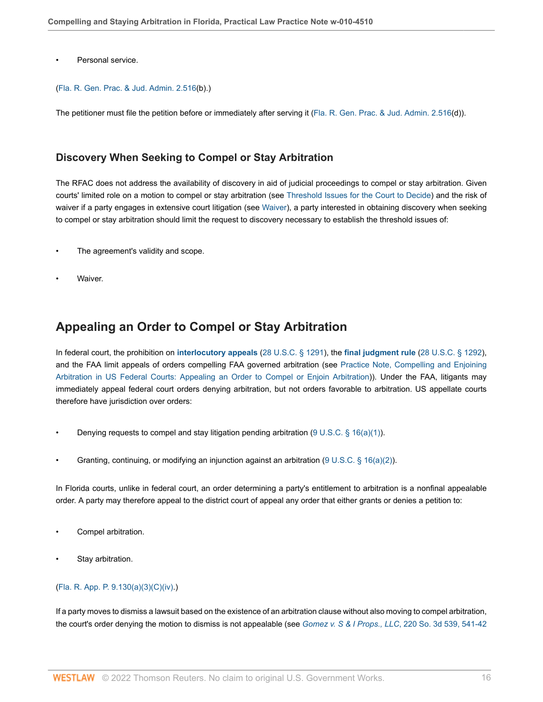Personal service.

#### ([Fla. R. Gen. Prac. & Jud. Admin. 2.516](http://www.westlaw.com/Link/Document/FullText?findType=L&pubNum=1103504&cite=FLSTGPAJAR2.516&originatingDoc=Idf2140f19e0d11e79bef99c0ee06c731&refType=GA&originationContext=document&vr=3.0&rs=cblt1.0&transitionType=PLDocumentLink&billingHash=C776527C1C2E98367B99B5F21C169D2CD8EE299B884494F35BADB74D5FFC3A47&contextData=(sc.Default))(b).)

The petitioner must file the petition before or immediately after serving it ([Fla. R. Gen. Prac. & Jud. Admin. 2.516](http://www.westlaw.com/Link/Document/FullText?findType=L&pubNum=1103504&cite=FLSTGPAJAR2.516&originatingDoc=Idf2140f19e0d11e79bef99c0ee06c731&refType=GA&originationContext=document&vr=3.0&rs=cblt1.0&transitionType=PLDocumentLink&billingHash=C776527C1C2E98367B99B5F21C169D2CD8EE299B884494F35BADB74D5FFC3A47&contextData=(sc.Default))(d)).

## <span id="page-15-0"></span>**Discovery When Seeking to Compel or Stay Arbitration**

The RFAC does not address the availability of discovery in aid of judicial proceedings to compel or stay arbitration. Given courts' limited role on a motion to compel or stay arbitration (see [Threshold Issues for the Court to Decide](#page-3-0)) and the risk of waiver if a party engages in extensive court litigation (see [Waiver](#page-5-1)), a party interested in obtaining discovery when seeking to compel or stay arbitration should limit the request to discovery necessary to establish the threshold issues of:

- The agreement's validity and scope.
- Waiver.

# <span id="page-15-1"></span>**Appealing an Order to Compel or Stay Arbitration**

In federal court, the prohibition on **[interlocutory appeals](http://www.westlaw.com/Document/I6629dc09ef2a11e28578f7ccc38dcbee/View/FullText.html?originationContext=document&vr=3.0&rs=cblt1.0&transitionType=DocumentItem&contextData=(sc.Default))** [\(28 U.S.C. § 1291](http://www.westlaw.com/Link/Document/FullText?findType=L&pubNum=1000546&cite=28USCAS1291&originatingDoc=Idf2140f19e0d11e79bef99c0ee06c731&refType=LQ&originationContext=document&vr=3.0&rs=cblt1.0&transitionType=PLDocumentLink&billingHash=B581C2D5C031BE8B74B645F684EA274F94A188F1ACAA6A54320AD0CC092AA45F&contextData=(sc.Default))), the **[final judgment rule](http://www.westlaw.com/Document/Id4cf194af3ad11e28578f7ccc38dcbee/View/FullText.html?originationContext=document&vr=3.0&rs=cblt1.0&transitionType=DocumentItem&contextData=(sc.Default))** [\(28 U.S.C. § 1292\)](http://www.westlaw.com/Link/Document/FullText?findType=L&pubNum=1000546&cite=28USCAS1292&originatingDoc=Idf2140f19e0d11e79bef99c0ee06c731&refType=LQ&originationContext=document&vr=3.0&rs=cblt1.0&transitionType=PLDocumentLink&billingHash=BA8FB63DF47E9B7684CC84A6710FEBD48315F5BA890C3A6B54E3F2C67A2DBA59&contextData=(sc.Default)), and the FAA limit appeals of orders compelling FAA governed arbitration (see [Practice Note, Compelling and Enjoining](http://www.westlaw.com/Document/I630e9697141b11e498db8b09b4f043e0/View/FullText.html?originationContext=document&vr=3.0&rs=cblt1.0&transitionType=DocumentItem&contextData=(sc.Default)#co_anchor_a48464) [Arbitration in US Federal Courts: Appealing an Order to Compel or Enjoin Arbitration\)](http://www.westlaw.com/Document/I630e9697141b11e498db8b09b4f043e0/View/FullText.html?originationContext=document&vr=3.0&rs=cblt1.0&transitionType=DocumentItem&contextData=(sc.Default)#co_anchor_a48464)). Under the FAA, litigants may immediately appeal federal court orders denying arbitration, but not orders favorable to arbitration. US appellate courts therefore have jurisdiction over orders:

- Denying requests to compel and stay litigation pending arbitration (9 U.S.C.  $\S$  16(a)(1)).
- Granting, continuing, or modifying an injunction against an arbitration (9 U.S.C.  $\S$  16(a)(2)).

In Florida courts, unlike in federal court, an order determining a party's entitlement to arbitration is a nonfinal appealable order. A party may therefore appeal to the district court of appeal any order that either grants or denies a petition to:

- Compel arbitration.
- Stay arbitration.

## ([Fla. R. App. P. 9.130\(a\)\(3\)\(C\)\(iv\)](http://www.westlaw.com/Link/Document/FullText?findType=L&pubNum=1005181&cite=FLSTRAPR9.130&originatingDoc=Idf2140f19e0d11e79bef99c0ee06c731&refType=LQ&originationContext=document&vr=3.0&rs=cblt1.0&transitionType=PLDocumentLink&billingHash=DF3C5191F62EEFA8F60B6D0DFA18E90C213D33B075092AF73E3331A3B1C4800A&contextData=(sc.Default)).)

If a party moves to dismiss a lawsuit based on the existence of an arbitration clause without also moving to compel arbitration, the court's order denying the motion to dismiss is not appealable (see *[Gomez v. S & I Props., LLC](http://www.westlaw.com/Link/Document/FullText?findType=Y&serNum=2041819933&pubNum=0003926&originatingDoc=Idf2140f19e0d11e79bef99c0ee06c731&refType=RP&fi=co_pp_sp_3926_541&originationContext=document&vr=3.0&rs=cblt1.0&transitionType=PLDocumentLink&billingHash=76ABD361EA2A62441A0E5AA974088271321AE3B3EE8B0532F8A12602A23A0252&contextData=(sc.Default)#co_pp_sp_3926_541)*, 220 So. 3d 539, 541-42